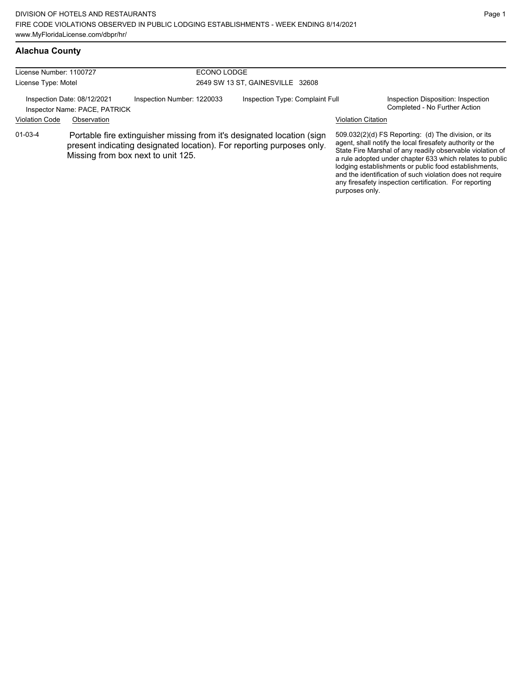|  | Alachua County |
|--|----------------|
|  |                |

| License Number: 1100727<br>License Type: Motel               |             | ECONO LODGE                        | 2649 SW 13 ST, GAINESVILLE 32608                                                                                                                |                           |                                                                                                                                                                                                                                                                                                                                                                                                                            |
|--------------------------------------------------------------|-------------|------------------------------------|-------------------------------------------------------------------------------------------------------------------------------------------------|---------------------------|----------------------------------------------------------------------------------------------------------------------------------------------------------------------------------------------------------------------------------------------------------------------------------------------------------------------------------------------------------------------------------------------------------------------------|
| Inspection Date: 08/12/2021<br>Inspector Name: PACE, PATRICK |             | Inspection Number: 1220033         | Inspection Type: Complaint Full                                                                                                                 |                           | Inspection Disposition: Inspection<br>Completed - No Further Action                                                                                                                                                                                                                                                                                                                                                        |
| <b>Violation Code</b>                                        | Observation |                                    |                                                                                                                                                 | <b>Violation Citation</b> |                                                                                                                                                                                                                                                                                                                                                                                                                            |
| $01 - 03 - 4$                                                |             | Missing from box next to unit 125. | Portable fire extinguisher missing from it's designated location (sign<br>present indicating designated location). For reporting purposes only. | purposes only.            | 509.032(2)(d) FS Reporting: (d) The division, or its<br>agent, shall notify the local firesafety authority or the<br>State Fire Marshal of any readily observable violation of<br>a rule adopted under chapter 633 which relates to public<br>lodging establishments or public food establishments,<br>and the identification of such violation does not require<br>any firesafety inspection certification. For reporting |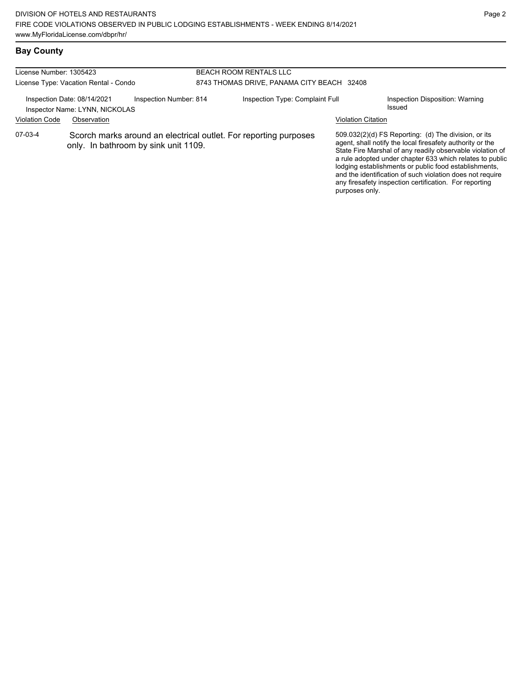# **Bay County**

| License Number: 1305423 |                                                                                                          |                        |  | <b>BEACH ROOM RENTALS LLC</b>              |                                                                                                                                                                                                                                                                                                                                                                                                                            |                                           |
|-------------------------|----------------------------------------------------------------------------------------------------------|------------------------|--|--------------------------------------------|----------------------------------------------------------------------------------------------------------------------------------------------------------------------------------------------------------------------------------------------------------------------------------------------------------------------------------------------------------------------------------------------------------------------------|-------------------------------------------|
|                         | License Type: Vacation Rental - Condo                                                                    |                        |  | 8743 THOMAS DRIVE, PANAMA CITY BEACH 32408 |                                                                                                                                                                                                                                                                                                                                                                                                                            |                                           |
|                         |                                                                                                          |                        |  |                                            |                                                                                                                                                                                                                                                                                                                                                                                                                            |                                           |
|                         | Inspection Date: 08/14/2021<br>Inspector Name: LYNN, NICKOLAS                                            | Inspection Number: 814 |  | Inspection Type: Complaint Full            |                                                                                                                                                                                                                                                                                                                                                                                                                            | Inspection Disposition: Warning<br>Issued |
| <b>Violation Code</b>   | Observation                                                                                              |                        |  |                                            | <b>Violation Citation</b>                                                                                                                                                                                                                                                                                                                                                                                                  |                                           |
| 07-03-4                 | Scorch marks around an electrical outlet. For reporting purposes<br>only. In bathroom by sink unit 1109. |                        |  | purposes only.                             | 509.032(2)(d) FS Reporting: (d) The division, or its<br>agent, shall notify the local firesafety authority or the<br>State Fire Marshal of any readily observable violation of<br>a rule adopted under chapter 633 which relates to public<br>lodging establishments or public food establishments,<br>and the identification of such violation does not require<br>any firesafety inspection certification. For reporting |                                           |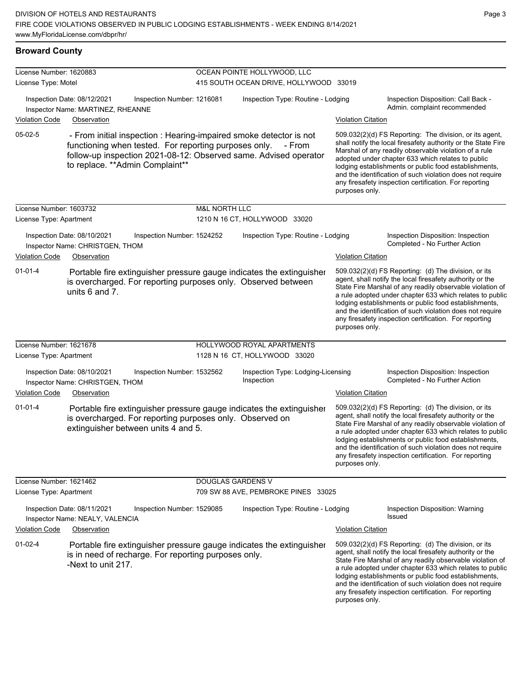### **Broward County**

| License Number: 1620883 |                                                                                                                                                                                                                                     |                          | OCEAN POINTE HOLLYWOOD, LLC                      |                           |                                                                                                                                                                                                                                                                                                                                                                                                                            |
|-------------------------|-------------------------------------------------------------------------------------------------------------------------------------------------------------------------------------------------------------------------------------|--------------------------|--------------------------------------------------|---------------------------|----------------------------------------------------------------------------------------------------------------------------------------------------------------------------------------------------------------------------------------------------------------------------------------------------------------------------------------------------------------------------------------------------------------------------|
| License Type: Motel     |                                                                                                                                                                                                                                     |                          | 415 SOUTH OCEAN DRIVE, HOLLYWOOD 33019           |                           |                                                                                                                                                                                                                                                                                                                                                                                                                            |
| <b>Violation Code</b>   | Inspection Date: 08/12/2021<br>Inspection Number: 1216081<br>Inspector Name: MARTINEZ, RHEANNE<br>Observation                                                                                                                       |                          | Inspection Type: Routine - Lodging               | <b>Violation Citation</b> | Inspection Disposition: Call Back -<br>Admin. complaint recommended                                                                                                                                                                                                                                                                                                                                                        |
| 05-02-5                 | - From initial inspection : Hearing-impaired smoke detector is not<br>functioning when tested. For reporting purposes only.<br>follow-up inspection 2021-08-12: Observed same. Advised operator<br>to replace. ** Admin Complaint** |                          | - From                                           | purposes only.            | 509.032(2)(d) FS Reporting: The division, or its agent,<br>shall notify the local firesafety authority or the State Fire<br>Marshal of any readily observable violation of a rule<br>adopted under chapter 633 which relates to public<br>lodging establishments or public food establishments,<br>and the identification of such violation does not require<br>any firesafety inspection certification. For reporting     |
| License Number: 1603732 |                                                                                                                                                                                                                                     | <b>M&amp;L NORTH LLC</b> |                                                  |                           |                                                                                                                                                                                                                                                                                                                                                                                                                            |
| License Type: Apartment |                                                                                                                                                                                                                                     |                          | 1210 N 16 CT, HOLLYWOOD 33020                    |                           |                                                                                                                                                                                                                                                                                                                                                                                                                            |
| <b>Violation Code</b>   | Inspection Date: 08/10/2021<br>Inspection Number: 1524252<br>Inspector Name: CHRISTGEN, THOM<br>Observation                                                                                                                         |                          | Inspection Type: Routine - Lodging               | <b>Violation Citation</b> | Inspection Disposition: Inspection<br>Completed - No Further Action                                                                                                                                                                                                                                                                                                                                                        |
| $01 - 01 - 4$           | Portable fire extinguisher pressure gauge indicates the extinguisher<br>is overcharged. For reporting purposes only. Observed between<br>units 6 and 7.                                                                             |                          |                                                  | purposes only.            | 509.032(2)(d) FS Reporting: (d) The division, or its<br>agent, shall notify the local firesafety authority or the<br>State Fire Marshal of any readily observable violation of<br>a rule adopted under chapter 633 which relates to public<br>lodging establishments or public food establishments,<br>and the identification of such violation does not require<br>any firesafety inspection certification. For reporting |
| License Number: 1621678 |                                                                                                                                                                                                                                     |                          | HOLLYWOOD ROYAL APARTMENTS                       |                           |                                                                                                                                                                                                                                                                                                                                                                                                                            |
| License Type: Apartment |                                                                                                                                                                                                                                     |                          | 1128 N 16 CT, HOLLYWOOD 33020                    |                           |                                                                                                                                                                                                                                                                                                                                                                                                                            |
|                         | Inspection Date: 08/10/2021<br>Inspection Number: 1532562<br>Inspector Name: CHRISTGEN, THOM                                                                                                                                        |                          | Inspection Type: Lodging-Licensing<br>Inspection |                           | Inspection Disposition: Inspection<br>Completed - No Further Action                                                                                                                                                                                                                                                                                                                                                        |
| <b>Violation Code</b>   | Observation                                                                                                                                                                                                                         |                          |                                                  | <b>Violation Citation</b> |                                                                                                                                                                                                                                                                                                                                                                                                                            |
| $01 - 01 - 4$           | Portable fire extinguisher pressure gauge indicates the extinguisher<br>is overcharged. For reporting purposes only. Observed on<br>extinguisher between units 4 and 5.                                                             |                          |                                                  | purposes only.            | 509.032(2)(d) FS Reporting: (d) The division, or its<br>agent, shall notify the local firesafety authority or the<br>State Fire Marshal of any readily observable violation of<br>a rule adopted under chapter 633 which relates to public<br>lodging establishments or public food establishments,<br>and the identification of such violation does not require<br>any firesafety inspection certification. For reporting |
| License Number: 1621462 |                                                                                                                                                                                                                                     | <b>DOUGLAS GARDENS V</b> |                                                  |                           |                                                                                                                                                                                                                                                                                                                                                                                                                            |
| License Type: Apartment |                                                                                                                                                                                                                                     |                          | 709 SW 88 AVE, PEMBROKE PINES 33025              |                           |                                                                                                                                                                                                                                                                                                                                                                                                                            |
|                         | Inspection Date: 08/11/2021<br>Inspection Number: 1529085<br>Inspector Name: NEALY, VALENCIA                                                                                                                                        |                          | Inspection Type: Routine - Lodging               |                           | Inspection Disposition: Warning<br>Issued                                                                                                                                                                                                                                                                                                                                                                                  |
| <b>Violation Code</b>   | Observation                                                                                                                                                                                                                         |                          |                                                  | <b>Violation Citation</b> |                                                                                                                                                                                                                                                                                                                                                                                                                            |
| $01-02-4$               | Portable fire extinguisher pressure gauge indicates the extinguisher<br>is in need of recharge. For reporting purposes only.<br>-Next to unit 217.                                                                                  |                          |                                                  | purposes only.            | 509.032(2)(d) FS Reporting: (d) The division, or its<br>agent, shall notify the local firesafety authority or the<br>State Fire Marshal of any readily observable violation of<br>a rule adopted under chapter 633 which relates to public<br>lodging establishments or public food establishments,<br>and the identification of such violation does not require<br>any firesafety inspection certification. For reporting |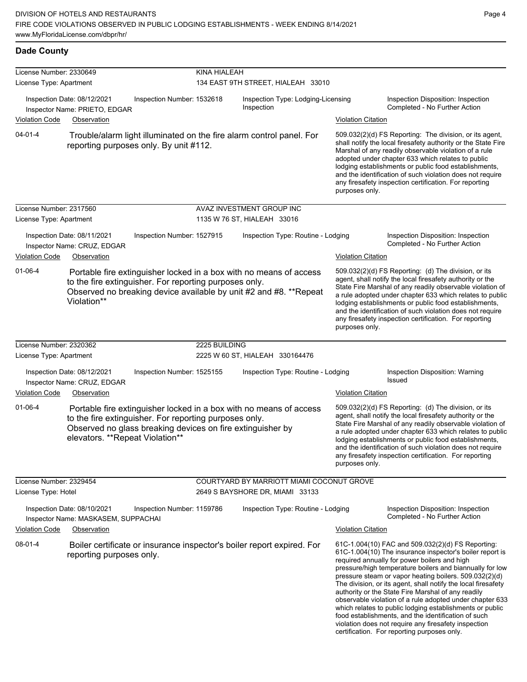| License Number: 2330649                        |                                                                                                                                                         |                            | KINA HIALEAH  |                                                                                                                                         |                                                                                                                                                                                                                                                                                                                                                                                                                                              |                                                                                                                                                                                                                                                                                                                                                                                                                                                                                                                                                                                                                                                                                                  |
|------------------------------------------------|---------------------------------------------------------------------------------------------------------------------------------------------------------|----------------------------|---------------|-----------------------------------------------------------------------------------------------------------------------------------------|----------------------------------------------------------------------------------------------------------------------------------------------------------------------------------------------------------------------------------------------------------------------------------------------------------------------------------------------------------------------------------------------------------------------------------------------|--------------------------------------------------------------------------------------------------------------------------------------------------------------------------------------------------------------------------------------------------------------------------------------------------------------------------------------------------------------------------------------------------------------------------------------------------------------------------------------------------------------------------------------------------------------------------------------------------------------------------------------------------------------------------------------------------|
| License Type: Apartment                        |                                                                                                                                                         |                            |               | 134 EAST 9TH STREET, HIALEAH 33010                                                                                                      |                                                                                                                                                                                                                                                                                                                                                                                                                                              |                                                                                                                                                                                                                                                                                                                                                                                                                                                                                                                                                                                                                                                                                                  |
|                                                | Inspection Date: 08/12/2021<br>Inspector Name: PRIETO, EDGAR                                                                                            | Inspection Number: 1532618 |               | Inspection Type: Lodging-Licensing<br>Inspection                                                                                        |                                                                                                                                                                                                                                                                                                                                                                                                                                              | Inspection Disposition: Inspection<br>Completed - No Further Action                                                                                                                                                                                                                                                                                                                                                                                                                                                                                                                                                                                                                              |
| <b>Violation Code</b>                          | Observation                                                                                                                                             |                            |               |                                                                                                                                         | <b>Violation Citation</b>                                                                                                                                                                                                                                                                                                                                                                                                                    |                                                                                                                                                                                                                                                                                                                                                                                                                                                                                                                                                                                                                                                                                                  |
| $04 - 01 - 4$                                  | reporting purposes only. By unit #112.                                                                                                                  |                            |               | Trouble/alarm light illuminated on the fire alarm control panel. For                                                                    | purposes only.                                                                                                                                                                                                                                                                                                                                                                                                                               | 509.032(2)(d) FS Reporting: The division, or its agent,<br>shall notify the local firesafety authority or the State Fire<br>Marshal of any readily observable violation of a rule<br>adopted under chapter 633 which relates to public<br>lodging establishments or public food establishments,<br>and the identification of such violation does not require<br>any firesafety inspection certification. For reporting                                                                                                                                                                                                                                                                           |
| License Number: 2317560                        |                                                                                                                                                         |                            |               | AVAZ INVESTMENT GROUP INC                                                                                                               |                                                                                                                                                                                                                                                                                                                                                                                                                                              |                                                                                                                                                                                                                                                                                                                                                                                                                                                                                                                                                                                                                                                                                                  |
| License Type: Apartment                        |                                                                                                                                                         |                            |               | 1135 W 76 ST, HIALEAH 33016                                                                                                             |                                                                                                                                                                                                                                                                                                                                                                                                                                              |                                                                                                                                                                                                                                                                                                                                                                                                                                                                                                                                                                                                                                                                                                  |
| <b>Violation Code</b>                          | Inspection Date: 08/11/2021<br>Inspector Name: CRUZ, EDGAR<br>Observation                                                                               | Inspection Number: 1527915 |               | Inspection Type: Routine - Lodging                                                                                                      | <b>Violation Citation</b>                                                                                                                                                                                                                                                                                                                                                                                                                    | Inspection Disposition: Inspection<br>Completed - No Further Action                                                                                                                                                                                                                                                                                                                                                                                                                                                                                                                                                                                                                              |
| $01 - 06 - 4$                                  | to the fire extinguisher. For reporting purposes only.<br>Violation**                                                                                   |                            |               | Portable fire extinguisher locked in a box with no means of access<br>Observed no breaking device available by unit #2 and #8. **Repeat | 509.032(2)(d) FS Reporting: (d) The division, or its<br>agent, shall notify the local firesafety authority or the<br>State Fire Marshal of any readily observable violation of<br>a rule adopted under chapter 633 which relates to public<br>lodging establishments or public food establishments,<br>and the identification of such violation does not require<br>any firesafety inspection certification. For reporting<br>purposes only. |                                                                                                                                                                                                                                                                                                                                                                                                                                                                                                                                                                                                                                                                                                  |
| License Number: 2320362                        |                                                                                                                                                         |                            | 2225 BUILDING |                                                                                                                                         |                                                                                                                                                                                                                                                                                                                                                                                                                                              |                                                                                                                                                                                                                                                                                                                                                                                                                                                                                                                                                                                                                                                                                                  |
| License Type: Apartment                        |                                                                                                                                                         |                            |               | 2225 W 60 ST, HIALEAH 330164476                                                                                                         |                                                                                                                                                                                                                                                                                                                                                                                                                                              |                                                                                                                                                                                                                                                                                                                                                                                                                                                                                                                                                                                                                                                                                                  |
|                                                | Inspection Date: 08/12/2021<br>Inspector Name: CRUZ, EDGAR                                                                                              | Inspection Number: 1525155 |               | Inspection Type: Routine - Lodging                                                                                                      |                                                                                                                                                                                                                                                                                                                                                                                                                                              | Inspection Disposition: Warning<br>Issued                                                                                                                                                                                                                                                                                                                                                                                                                                                                                                                                                                                                                                                        |
| <b>Violation Code</b>                          | Observation                                                                                                                                             |                            |               |                                                                                                                                         | <b>Violation Citation</b>                                                                                                                                                                                                                                                                                                                                                                                                                    |                                                                                                                                                                                                                                                                                                                                                                                                                                                                                                                                                                                                                                                                                                  |
| $01 - 06 - 4$                                  | to the fire extinguisher. For reporting purposes only.<br>Observed no glass breaking devices on fire extinguisher by<br>elevators. **Repeat Violation** |                            |               | Portable fire extinguisher locked in a box with no means of access                                                                      | purposes only.                                                                                                                                                                                                                                                                                                                                                                                                                               | 509.032(2)(d) FS Reporting: (d) The division, or its<br>agent, shall notify the local firesafety authority or the<br>State Fire Marshal of any readily observable violation of<br>a rule adopted under chapter 633 which relates to public<br>lodging establishments or public food establishments,<br>and the identification of such violation does not require<br>any firesafety inspection certification. For reporting                                                                                                                                                                                                                                                                       |
| License Number: 2329454<br>License Type: Hotel |                                                                                                                                                         |                            |               | COURTYARD BY MARRIOTT MIAMI COCONUT GROVE<br>2649 S BAYSHORE DR, MIAMI 33133                                                            |                                                                                                                                                                                                                                                                                                                                                                                                                                              |                                                                                                                                                                                                                                                                                                                                                                                                                                                                                                                                                                                                                                                                                                  |
|                                                |                                                                                                                                                         |                            |               |                                                                                                                                         |                                                                                                                                                                                                                                                                                                                                                                                                                                              |                                                                                                                                                                                                                                                                                                                                                                                                                                                                                                                                                                                                                                                                                                  |
|                                                | Inspection Date: 08/10/2021<br>Inspector Name: MASKASEM, SUPPACHAI                                                                                      | Inspection Number: 1159786 |               | Inspection Type: Routine - Lodging                                                                                                      |                                                                                                                                                                                                                                                                                                                                                                                                                                              | Inspection Disposition: Inspection<br>Completed - No Further Action                                                                                                                                                                                                                                                                                                                                                                                                                                                                                                                                                                                                                              |
| <b>Violation Code</b>                          | Observation                                                                                                                                             |                            |               |                                                                                                                                         | <b>Violation Citation</b>                                                                                                                                                                                                                                                                                                                                                                                                                    |                                                                                                                                                                                                                                                                                                                                                                                                                                                                                                                                                                                                                                                                                                  |
| $08-01-4$                                      | reporting purposes only.                                                                                                                                |                            |               | Boiler certificate or insurance inspector's boiler report expired. For                                                                  |                                                                                                                                                                                                                                                                                                                                                                                                                                              | 61C-1.004(10) FAC and 509.032(2)(d) FS Reporting:<br>61C-1.004(10) The insurance inspector's boiler report is<br>required annually for power boilers and high<br>pressure/high temperature boilers and biannually for low<br>pressure steam or vapor heating boilers. 509.032(2)(d)<br>The division, or its agent, shall notify the local firesafety<br>authority or the State Fire Marshal of any readily<br>observable violation of a rule adopted under chapter 633<br>which relates to public lodging establishments or public<br>food establishments, and the identification of such<br>violation does not require any firesafety inspection<br>certification. For reporting purposes only. |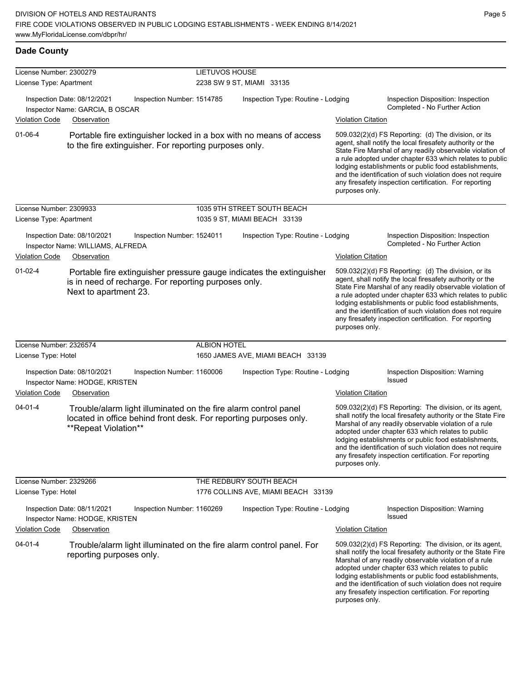|--|--|

| <b>Dade County</b>                                 |                                                                                                                                                              |                |                                                                |                                                                                                                                                                                                                                                                                                                                                                                                                                              |                                                                                                                                                                                                                                                                                                                                                                                                                            |  |
|----------------------------------------------------|--------------------------------------------------------------------------------------------------------------------------------------------------------------|----------------|----------------------------------------------------------------|----------------------------------------------------------------------------------------------------------------------------------------------------------------------------------------------------------------------------------------------------------------------------------------------------------------------------------------------------------------------------------------------------------------------------------------------|----------------------------------------------------------------------------------------------------------------------------------------------------------------------------------------------------------------------------------------------------------------------------------------------------------------------------------------------------------------------------------------------------------------------------|--|
| License Number: 2300279<br>License Type: Apartment |                                                                                                                                                              | LIETUVOS HOUSE | 2238 SW 9 ST, MIAMI 33135                                      |                                                                                                                                                                                                                                                                                                                                                                                                                                              |                                                                                                                                                                                                                                                                                                                                                                                                                            |  |
| Inspection Date: 08/12/2021                        | Inspection Number: 1514785<br>Inspector Name: GARCIA, B OSCAR                                                                                                |                | Inspection Type: Routine - Lodging                             |                                                                                                                                                                                                                                                                                                                                                                                                                                              | Inspection Disposition: Inspection<br>Completed - No Further Action                                                                                                                                                                                                                                                                                                                                                        |  |
| <b>Violation Code</b>                              | Observation                                                                                                                                                  |                |                                                                | <b>Violation Citation</b>                                                                                                                                                                                                                                                                                                                                                                                                                    |                                                                                                                                                                                                                                                                                                                                                                                                                            |  |
| $01 - 06 - 4$                                      | Portable fire extinguisher locked in a box with no means of access<br>to the fire extinguisher. For reporting purposes only.                                 |                |                                                                | purposes only.                                                                                                                                                                                                                                                                                                                                                                                                                               | 509.032(2)(d) FS Reporting: (d) The division, or its<br>agent, shall notify the local firesafety authority or the<br>State Fire Marshal of any readily observable violation of<br>a rule adopted under chapter 633 which relates to public<br>lodging establishments or public food establishments,<br>and the identification of such violation does not require<br>any firesafety inspection certification. For reporting |  |
| License Number: 2309933                            |                                                                                                                                                              |                | 1035 9TH STREET SOUTH BEACH                                    |                                                                                                                                                                                                                                                                                                                                                                                                                                              |                                                                                                                                                                                                                                                                                                                                                                                                                            |  |
| License Type: Apartment                            |                                                                                                                                                              |                | 1035 9 ST, MIAMI BEACH 33139                                   |                                                                                                                                                                                                                                                                                                                                                                                                                                              |                                                                                                                                                                                                                                                                                                                                                                                                                            |  |
| Inspection Date: 08/10/2021                        | Inspection Number: 1524011<br>Inspector Name: WILLIAMS, ALFREDA                                                                                              |                | Inspection Type: Routine - Lodging                             |                                                                                                                                                                                                                                                                                                                                                                                                                                              | Inspection Disposition: Inspection<br>Completed - No Further Action                                                                                                                                                                                                                                                                                                                                                        |  |
| <b>Violation Code</b>                              | Observation                                                                                                                                                  |                |                                                                | <b>Violation Citation</b>                                                                                                                                                                                                                                                                                                                                                                                                                    |                                                                                                                                                                                                                                                                                                                                                                                                                            |  |
| $01 - 02 - 4$                                      | Portable fire extinguisher pressure gauge indicates the extinguisher<br>is in need of recharge. For reporting purposes only.<br>Next to apartment 23.        |                |                                                                | 509.032(2)(d) FS Reporting: (d) The division, or its<br>agent, shall notify the local firesafety authority or the<br>State Fire Marshal of any readily observable violation of<br>a rule adopted under chapter 633 which relates to public<br>lodging establishments or public food establishments,<br>and the identification of such violation does not require<br>any firesafety inspection certification. For reporting<br>purposes only. |                                                                                                                                                                                                                                                                                                                                                                                                                            |  |
| License Number: 2326574                            |                                                                                                                                                              | ALBION HOTEL   |                                                                |                                                                                                                                                                                                                                                                                                                                                                                                                                              |                                                                                                                                                                                                                                                                                                                                                                                                                            |  |
| License Type: Hotel                                |                                                                                                                                                              |                | 1650 JAMES AVE, MIAMI BEACH 33139                              |                                                                                                                                                                                                                                                                                                                                                                                                                                              |                                                                                                                                                                                                                                                                                                                                                                                                                            |  |
| Inspection Date: 08/10/2021                        | Inspection Number: 1160006<br>Inspector Name: HODGE, KRISTEN                                                                                                 |                | Inspection Type: Routine - Lodging                             |                                                                                                                                                                                                                                                                                                                                                                                                                                              | Inspection Disposition: Warning<br>Issued                                                                                                                                                                                                                                                                                                                                                                                  |  |
| Violation Code                                     | Observation                                                                                                                                                  |                |                                                                | <b>Violation Citation</b>                                                                                                                                                                                                                                                                                                                                                                                                                    |                                                                                                                                                                                                                                                                                                                                                                                                                            |  |
| $04 - 01 - 4$                                      | Trouble/alarm light illuminated on the fire alarm control panel<br>located in office behind front desk. For reporting purposes only.<br>**Repeat Violation** |                |                                                                | purposes only.                                                                                                                                                                                                                                                                                                                                                                                                                               | 509.032(2)(d) FS Reporting: The division, or its agent,<br>shall notify the local firesafety authority or the State Fire<br>Marshal of any readily observable violation of a rule<br>adopted under chapter 633 which relates to public<br>lodging establishments or public food establishments,<br>and the identification of such violation does not require<br>any firesafety inspection certification. For reporting     |  |
| License Number: 2329266<br>License Type: Hotel     |                                                                                                                                                              |                | THE REDBURY SOUTH BEACH<br>1776 COLLINS AVE, MIAMI BEACH 33139 |                                                                                                                                                                                                                                                                                                                                                                                                                                              |                                                                                                                                                                                                                                                                                                                                                                                                                            |  |
| Inspection Date: 08/11/2021                        | Inspection Number: 1160269<br>Inspector Name: HODGE, KRISTEN                                                                                                 |                | Inspection Type: Routine - Lodging                             |                                                                                                                                                                                                                                                                                                                                                                                                                                              | Inspection Disposition: Warning<br>Issued                                                                                                                                                                                                                                                                                                                                                                                  |  |
| <b>Violation Code</b>                              | Observation                                                                                                                                                  |                |                                                                | <b>Violation Citation</b>                                                                                                                                                                                                                                                                                                                                                                                                                    |                                                                                                                                                                                                                                                                                                                                                                                                                            |  |
| $04 - 01 - 4$                                      | Trouble/alarm light illuminated on the fire alarm control panel. For<br>reporting purposes only.                                                             |                |                                                                | purposes only.                                                                                                                                                                                                                                                                                                                                                                                                                               | 509.032(2)(d) FS Reporting: The division, or its agent,<br>shall notify the local firesafety authority or the State Fire<br>Marshal of any readily observable violation of a rule<br>adopted under chapter 633 which relates to public<br>lodging establishments or public food establishments,<br>and the identification of such violation does not require<br>any firesafety inspection certification. For reporting     |  |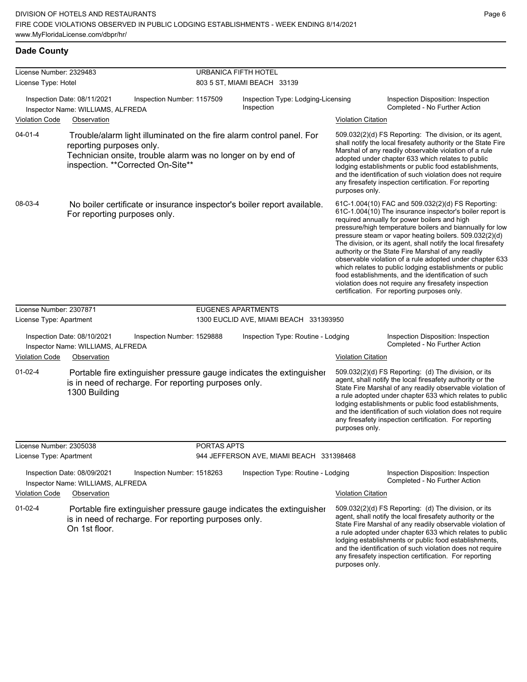| License Number: 2329483 |                                                                                                                                                                                                       |             | URBANICA FIFTH HOTEL                             |                                                                                                                                                                                                                                                                                                                                                                                                                                                                                                                                                                                                                                                                                                  |  |  |  |
|-------------------------|-------------------------------------------------------------------------------------------------------------------------------------------------------------------------------------------------------|-------------|--------------------------------------------------|--------------------------------------------------------------------------------------------------------------------------------------------------------------------------------------------------------------------------------------------------------------------------------------------------------------------------------------------------------------------------------------------------------------------------------------------------------------------------------------------------------------------------------------------------------------------------------------------------------------------------------------------------------------------------------------------------|--|--|--|
| License Type: Hotel     |                                                                                                                                                                                                       |             | 803 5 ST, MIAMI BEACH 33139                      |                                                                                                                                                                                                                                                                                                                                                                                                                                                                                                                                                                                                                                                                                                  |  |  |  |
|                         | Inspection Date: 08/11/2021<br>Inspection Number: 1157509<br>Inspector Name: WILLIAMS, ALFREDA                                                                                                        |             | Inspection Type: Lodging-Licensing<br>Inspection | Inspection Disposition: Inspection<br>Completed - No Further Action                                                                                                                                                                                                                                                                                                                                                                                                                                                                                                                                                                                                                              |  |  |  |
| <b>Violation Code</b>   | Observation                                                                                                                                                                                           |             |                                                  | <b>Violation Citation</b>                                                                                                                                                                                                                                                                                                                                                                                                                                                                                                                                                                                                                                                                        |  |  |  |
| $04 - 01 - 4$           | Trouble/alarm light illuminated on the fire alarm control panel. For<br>reporting purposes only.<br>Technician onsite, trouble alarm was no longer on by end of<br>inspection. ** Corrected On-Site** |             |                                                  | 509.032(2)(d) FS Reporting: The division, or its agent,<br>shall notify the local firesafety authority or the State Fire<br>Marshal of any readily observable violation of a rule<br>adopted under chapter 633 which relates to public<br>lodging establishments or public food establishments,<br>and the identification of such violation does not require<br>any firesafety inspection certification. For reporting<br>purposes only.                                                                                                                                                                                                                                                         |  |  |  |
| 08-03-4                 | No boiler certificate or insurance inspector's boiler report available.<br>For reporting purposes only.                                                                                               |             |                                                  | 61C-1.004(10) FAC and 509.032(2)(d) FS Reporting:<br>61C-1.004(10) The insurance inspector's boiler report is<br>required annually for power boilers and high<br>pressure/high temperature boilers and biannually for low<br>pressure steam or vapor heating boilers. 509.032(2)(d)<br>The division, or its agent, shall notify the local firesafety<br>authority or the State Fire Marshal of any readily<br>observable violation of a rule adopted under chapter 633<br>which relates to public lodging establishments or public<br>food establishments, and the identification of such<br>violation does not require any firesafety inspection<br>certification. For reporting purposes only. |  |  |  |
| License Number: 2307871 |                                                                                                                                                                                                       |             | <b>EUGENES APARTMENTS</b>                        |                                                                                                                                                                                                                                                                                                                                                                                                                                                                                                                                                                                                                                                                                                  |  |  |  |
| License Type: Apartment |                                                                                                                                                                                                       |             | 1300 EUCLID AVE, MIAMI BEACH 331393950           |                                                                                                                                                                                                                                                                                                                                                                                                                                                                                                                                                                                                                                                                                                  |  |  |  |
|                         |                                                                                                                                                                                                       |             |                                                  |                                                                                                                                                                                                                                                                                                                                                                                                                                                                                                                                                                                                                                                                                                  |  |  |  |
|                         | Inspection Date: 08/10/2021<br>Inspection Number: 1529888<br>Inspector Name: WILLIAMS, ALFREDA                                                                                                        |             | Inspection Type: Routine - Lodging               | Inspection Disposition: Inspection<br>Completed - No Further Action                                                                                                                                                                                                                                                                                                                                                                                                                                                                                                                                                                                                                              |  |  |  |
| <b>Violation Code</b>   | Observation                                                                                                                                                                                           |             |                                                  | <b>Violation Citation</b>                                                                                                                                                                                                                                                                                                                                                                                                                                                                                                                                                                                                                                                                        |  |  |  |
| $01 - 02 - 4$           | Portable fire extinguisher pressure gauge indicates the extinguisher<br>is in need of recharge. For reporting purposes only.<br>1300 Building                                                         |             |                                                  | 509.032(2)(d) FS Reporting: (d) The division, or its<br>agent, shall notify the local firesafety authority or the<br>State Fire Marshal of any readily observable violation of<br>a rule adopted under chapter 633 which relates to public<br>lodging establishments or public food establishments,<br>and the identification of such violation does not require<br>any firesafety inspection certification. For reporting<br>purposes only.                                                                                                                                                                                                                                                     |  |  |  |
| License Number: 2305038 |                                                                                                                                                                                                       | PORTAS APTS |                                                  |                                                                                                                                                                                                                                                                                                                                                                                                                                                                                                                                                                                                                                                                                                  |  |  |  |
| License Type: Apartment |                                                                                                                                                                                                       |             | 944 JEFFERSON AVE, MIAMI BEACH 331398468         |                                                                                                                                                                                                                                                                                                                                                                                                                                                                                                                                                                                                                                                                                                  |  |  |  |
|                         | Inspection Date: 08/09/2021<br>Inspection Number: 1518263<br>Inspector Name: WILLIAMS, ALFREDA                                                                                                        |             | Inspection Type: Routine - Lodging               | Inspection Disposition: Inspection<br>Completed - No Further Action                                                                                                                                                                                                                                                                                                                                                                                                                                                                                                                                                                                                                              |  |  |  |
| <b>Violation Code</b>   | Observation                                                                                                                                                                                           |             |                                                  | <b>Violation Citation</b>                                                                                                                                                                                                                                                                                                                                                                                                                                                                                                                                                                                                                                                                        |  |  |  |
| $01 - 02 - 4$           | Portable fire extinguisher pressure gauge indicates the extinguisher<br>is in need of recharge. For reporting purposes only.<br>On 1st floor.                                                         |             |                                                  | 509.032(2)(d) FS Reporting: (d) The division, or its<br>agent, shall notify the local firesafety authority or the<br>State Fire Marshal of any readily observable violation of<br>a rule adopted under chapter 633 which relates to public<br>lodging establishments or public food establishments,<br>and the identification of such violation does not require<br>any firesafety inspection certification. For reporting                                                                                                                                                                                                                                                                       |  |  |  |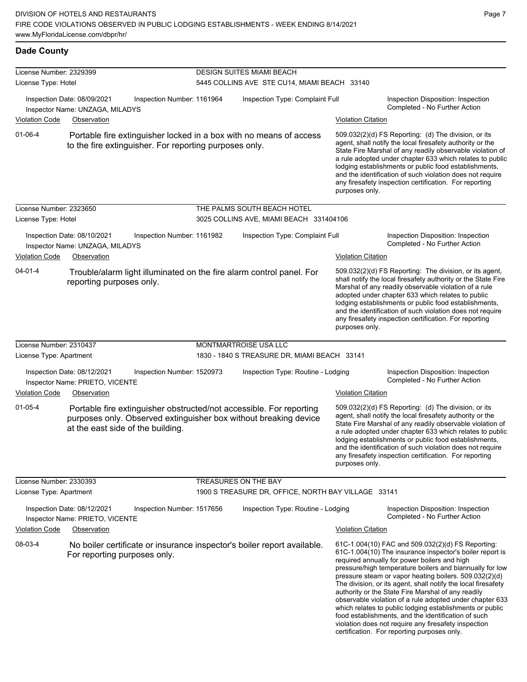| License Number: 2329399 |                                                                               |                                                        | <b>DESIGN SUITES MIAMI BEACH</b> |                                                                                                                                         |                           |                                                                                                                                                                                                                                                                                                                                                                                                                                                                                                                                                                                                                                                                                                  |  |
|-------------------------|-------------------------------------------------------------------------------|--------------------------------------------------------|----------------------------------|-----------------------------------------------------------------------------------------------------------------------------------------|---------------------------|--------------------------------------------------------------------------------------------------------------------------------------------------------------------------------------------------------------------------------------------------------------------------------------------------------------------------------------------------------------------------------------------------------------------------------------------------------------------------------------------------------------------------------------------------------------------------------------------------------------------------------------------------------------------------------------------------|--|
| License Type: Hotel     |                                                                               |                                                        |                                  | 5445 COLLINS AVE STE CU14, MIAMI BEACH 33140                                                                                            |                           |                                                                                                                                                                                                                                                                                                                                                                                                                                                                                                                                                                                                                                                                                                  |  |
|                         | Inspection Date: 08/09/2021<br>Inspector Name: UNZAGA, MILADYS                | Inspection Number: 1161964                             | Inspection Type: Complaint Full  |                                                                                                                                         |                           | Inspection Disposition: Inspection<br>Completed - No Further Action                                                                                                                                                                                                                                                                                                                                                                                                                                                                                                                                                                                                                              |  |
| <b>Violation Code</b>   | Observation                                                                   |                                                        |                                  |                                                                                                                                         | <b>Violation Citation</b> |                                                                                                                                                                                                                                                                                                                                                                                                                                                                                                                                                                                                                                                                                                  |  |
| $01 - 06 - 4$           |                                                                               | to the fire extinguisher. For reporting purposes only. |                                  | Portable fire extinguisher locked in a box with no means of access                                                                      | purposes only.            | 509.032(2)(d) FS Reporting: (d) The division, or its<br>agent, shall notify the local firesafety authority or the<br>State Fire Marshal of any readily observable violation of<br>a rule adopted under chapter 633 which relates to public<br>lodging establishments or public food establishments,<br>and the identification of such violation does not require<br>any firesafety inspection certification. For reporting                                                                                                                                                                                                                                                                       |  |
| License Number: 2323650 |                                                                               |                                                        |                                  | THE PALMS SOUTH BEACH HOTEL                                                                                                             |                           |                                                                                                                                                                                                                                                                                                                                                                                                                                                                                                                                                                                                                                                                                                  |  |
| License Type: Hotel     |                                                                               |                                                        |                                  | 3025 COLLINS AVE, MIAMI BEACH 331404106                                                                                                 |                           |                                                                                                                                                                                                                                                                                                                                                                                                                                                                                                                                                                                                                                                                                                  |  |
| <b>Violation Code</b>   | Inspection Date: 08/10/2021<br>Inspector Name: UNZAGA, MILADYS<br>Observation | Inspection Number: 1161982                             |                                  | Inspection Type: Complaint Full                                                                                                         | <b>Violation Citation</b> | Inspection Disposition: Inspection<br>Completed - No Further Action                                                                                                                                                                                                                                                                                                                                                                                                                                                                                                                                                                                                                              |  |
| $04 - 01 - 4$           | reporting purposes only.                                                      |                                                        |                                  | Trouble/alarm light illuminated on the fire alarm control panel. For                                                                    | purposes only.            | 509.032(2)(d) FS Reporting: The division, or its agent,<br>shall notify the local firesafety authority or the State Fire<br>Marshal of any readily observable violation of a rule<br>adopted under chapter 633 which relates to public<br>lodging establishments or public food establishments,<br>and the identification of such violation does not require<br>any firesafety inspection certification. For reporting                                                                                                                                                                                                                                                                           |  |
| License Number: 2310437 |                                                                               |                                                        |                                  | MONTMARTROISE USA LLC                                                                                                                   |                           |                                                                                                                                                                                                                                                                                                                                                                                                                                                                                                                                                                                                                                                                                                  |  |
| License Type: Apartment |                                                                               |                                                        |                                  | 1830 - 1840 STREASURE DR, MIAMI BEACH 33141                                                                                             |                           |                                                                                                                                                                                                                                                                                                                                                                                                                                                                                                                                                                                                                                                                                                  |  |
|                         | Inspection Date: 08/12/2021<br>Inspector Name: PRIETO, VICENTE                | Inspection Number: 1520973                             |                                  | Inspection Type: Routine - Lodging                                                                                                      |                           | Inspection Disposition: Inspection<br>Completed - No Further Action                                                                                                                                                                                                                                                                                                                                                                                                                                                                                                                                                                                                                              |  |
| <b>Violation Code</b>   | Observation                                                                   |                                                        |                                  |                                                                                                                                         | <b>Violation Citation</b> |                                                                                                                                                                                                                                                                                                                                                                                                                                                                                                                                                                                                                                                                                                  |  |
| $01 - 05 - 4$           | at the east side of the building.                                             |                                                        |                                  | Portable fire extinguisher obstructed/not accessible. For reporting<br>purposes only. Observed extinguisher box without breaking device | purposes only.            | 509.032(2)(d) FS Reporting: (d) The division, or its<br>agent, shall notify the local firesafety authority or the<br>State Fire Marshal of any readily observable violation of<br>a rule adopted under chapter 633 which relates to public<br>lodging establishments or public food establishments,<br>and the identification of such violation does not require<br>any firesafety inspection certification. For reporting                                                                                                                                                                                                                                                                       |  |
| License Number: 2330393 |                                                                               |                                                        |                                  | TREASURES ON THE BAY                                                                                                                    |                           |                                                                                                                                                                                                                                                                                                                                                                                                                                                                                                                                                                                                                                                                                                  |  |
| License Type: Apartment |                                                                               |                                                        |                                  | 1900 S TREASURE DR, OFFICE, NORTH BAY VILLAGE 33141                                                                                     |                           |                                                                                                                                                                                                                                                                                                                                                                                                                                                                                                                                                                                                                                                                                                  |  |
|                         | Inspection Date: 08/12/2021<br>Inspector Name: PRIETO, VICENTE                | Inspection Number: 1517656                             |                                  | Inspection Type: Routine - Lodging                                                                                                      |                           | Inspection Disposition: Inspection<br>Completed - No Further Action                                                                                                                                                                                                                                                                                                                                                                                                                                                                                                                                                                                                                              |  |
| <b>Violation Code</b>   | Observation                                                                   |                                                        |                                  |                                                                                                                                         | <b>Violation Citation</b> |                                                                                                                                                                                                                                                                                                                                                                                                                                                                                                                                                                                                                                                                                                  |  |
| 08-03-4                 | For reporting purposes only.                                                  |                                                        |                                  | No boiler certificate or insurance inspector's boiler report available.                                                                 |                           | 61C-1.004(10) FAC and 509.032(2)(d) FS Reporting:<br>61C-1.004(10) The insurance inspector's boiler report is<br>required annually for power boilers and high<br>pressure/high temperature boilers and biannually for low<br>pressure steam or vapor heating boilers. 509.032(2)(d)<br>The division, or its agent, shall notify the local firesafety<br>authority or the State Fire Marshal of any readily<br>observable violation of a rule adopted under chapter 633<br>which relates to public lodging establishments or public<br>food establishments, and the identification of such<br>violation does not require any firesafety inspection<br>certification. For reporting purposes only. |  |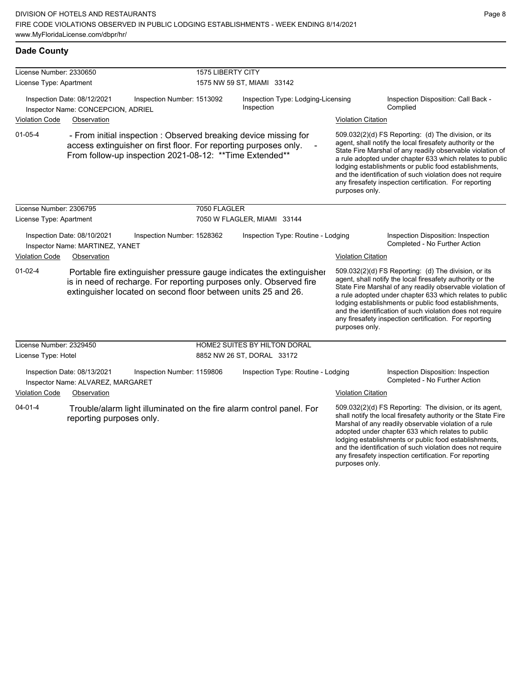| License Number: 2330650 |                                                                   | <b>1575 LIBERTY CITY</b>                                                                                                                                                                                    |                                                  |                           |                                                                                                                                                                                                                                                                                                                                                                                                                            |
|-------------------------|-------------------------------------------------------------------|-------------------------------------------------------------------------------------------------------------------------------------------------------------------------------------------------------------|--------------------------------------------------|---------------------------|----------------------------------------------------------------------------------------------------------------------------------------------------------------------------------------------------------------------------------------------------------------------------------------------------------------------------------------------------------------------------------------------------------------------------|
| License Type: Apartment |                                                                   |                                                                                                                                                                                                             | 1575 NW 59 ST, MIAMI 33142                       |                           |                                                                                                                                                                                                                                                                                                                                                                                                                            |
|                         | Inspection Date: 08/12/2021<br>Inspector Name: CONCEPCION, ADRIEL | Inspection Number: 1513092                                                                                                                                                                                  | Inspection Type: Lodging-Licensing<br>Inspection |                           | Inspection Disposition: Call Back -<br>Complied                                                                                                                                                                                                                                                                                                                                                                            |
| <b>Violation Code</b>   | Observation                                                       |                                                                                                                                                                                                             |                                                  | <b>Violation Citation</b> |                                                                                                                                                                                                                                                                                                                                                                                                                            |
| $01 - 05 - 4$           |                                                                   | - From initial inspection : Observed breaking device missing for<br>access extinguisher on first floor. For reporting purposes only.<br>From follow-up inspection 2021-08-12: ** Time Extended**            |                                                  | purposes only.            | 509.032(2)(d) FS Reporting: (d) The division, or its<br>agent, shall notify the local firesafety authority or the<br>State Fire Marshal of any readily observable violation of<br>a rule adopted under chapter 633 which relates to public<br>lodging establishments or public food establishments,<br>and the identification of such violation does not require<br>any firesafety inspection certification. For reporting |
| License Number: 2306795 |                                                                   | 7050 FLAGLER                                                                                                                                                                                                |                                                  |                           |                                                                                                                                                                                                                                                                                                                                                                                                                            |
| License Type: Apartment |                                                                   |                                                                                                                                                                                                             | 7050 W FLAGLER, MIAMI 33144                      |                           |                                                                                                                                                                                                                                                                                                                                                                                                                            |
|                         | Inspection Date: 08/10/2021<br>Inspector Name: MARTINEZ, YANET    | Inspection Number: 1528362                                                                                                                                                                                  | Inspection Type: Routine - Lodging               |                           | Inspection Disposition: Inspection<br>Completed - No Further Action                                                                                                                                                                                                                                                                                                                                                        |
| <b>Violation Code</b>   | Observation                                                       |                                                                                                                                                                                                             |                                                  | <b>Violation Citation</b> |                                                                                                                                                                                                                                                                                                                                                                                                                            |
| $01 - 02 - 4$           |                                                                   | Portable fire extinguisher pressure gauge indicates the extinguisher<br>is in need of recharge. For reporting purposes only. Observed fire<br>extinguisher located on second floor between units 25 and 26. |                                                  | purposes only.            | 509.032(2)(d) FS Reporting: (d) The division, or its<br>agent, shall notify the local firesafety authority or the<br>State Fire Marshal of any readily observable violation of<br>a rule adopted under chapter 633 which relates to public<br>lodging establishments or public food establishments,<br>and the identification of such violation does not require<br>any firesafety inspection certification. For reporting |
| License Number: 2329450 |                                                                   |                                                                                                                                                                                                             | <b>HOME2 SUITES BY HILTON DORAL</b>              |                           |                                                                                                                                                                                                                                                                                                                                                                                                                            |
| License Type: Hotel     |                                                                   |                                                                                                                                                                                                             | 8852 NW 26 ST, DORAL 33172                       |                           |                                                                                                                                                                                                                                                                                                                                                                                                                            |
|                         | Inspection Date: 08/13/2021<br>Inspector Name: ALVAREZ, MARGARET  | Inspection Number: 1159806                                                                                                                                                                                  | Inspection Type: Routine - Lodging               |                           | Inspection Disposition: Inspection<br>Completed - No Further Action                                                                                                                                                                                                                                                                                                                                                        |
| <b>Violation Code</b>   | Observation                                                       |                                                                                                                                                                                                             |                                                  | <b>Violation Citation</b> |                                                                                                                                                                                                                                                                                                                                                                                                                            |
| 04-01-4                 | reporting purposes only.                                          | Trouble/alarm light illuminated on the fire alarm control panel. For                                                                                                                                        |                                                  |                           | 509.032(2)(d) FS Reporting: The division, or its agent,<br>shall notify the local firesafety authority or the State Fire<br>Marshal of any readily observable violation of a rule<br>adopted under chapter 633 which relates to public<br>lodging establishments or public food establishments,<br>and the identification of such violation does not require                                                               |

any firesafety inspection certification. For reporting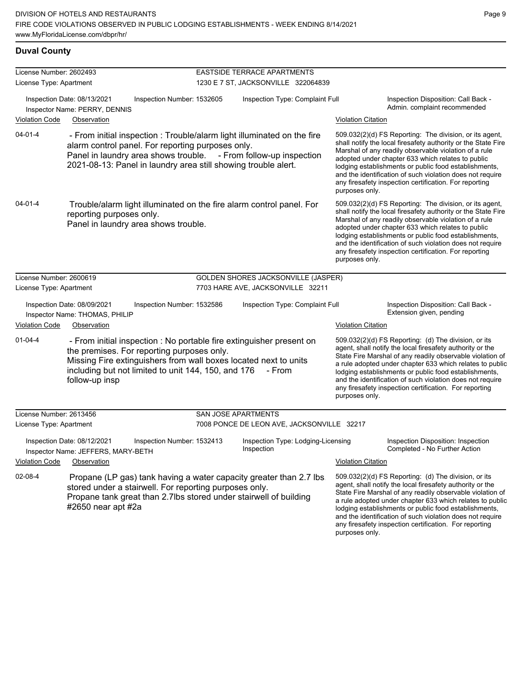### **Duval County**

| License Number: 2602493 |                                                                   |                                                                                                                                                                                                                                                      | <b>EASTSIDE TERRACE APARTMENTS</b>               |                           |                                                                                                                                                                                                                                                                                                                                                                                                                            |
|-------------------------|-------------------------------------------------------------------|------------------------------------------------------------------------------------------------------------------------------------------------------------------------------------------------------------------------------------------------------|--------------------------------------------------|---------------------------|----------------------------------------------------------------------------------------------------------------------------------------------------------------------------------------------------------------------------------------------------------------------------------------------------------------------------------------------------------------------------------------------------------------------------|
| License Type: Apartment |                                                                   |                                                                                                                                                                                                                                                      | 1230 E 7 ST, JACKSONVILLE 322064839              |                           |                                                                                                                                                                                                                                                                                                                                                                                                                            |
|                         | Inspection Date: 08/13/2021<br>Inspector Name: PERRY, DENNIS      | Inspection Number: 1532605                                                                                                                                                                                                                           | Inspection Type: Complaint Full                  |                           | Inspection Disposition: Call Back -<br>Admin. complaint recommended                                                                                                                                                                                                                                                                                                                                                        |
| Violation Code          | Observation                                                       |                                                                                                                                                                                                                                                      |                                                  | <b>Violation Citation</b> |                                                                                                                                                                                                                                                                                                                                                                                                                            |
| $04 - 01 - 4$           |                                                                   | - From initial inspection : Trouble/alarm light illuminated on the fire<br>alarm control panel. For reporting purposes only.<br>Panel in laundry area shows trouble.<br>2021-08-13: Panel in laundry area still showing trouble alert.               | - From follow-up inspection                      | purposes only.            | 509.032(2)(d) FS Reporting: The division, or its agent,<br>shall notify the local firesafety authority or the State Fire<br>Marshal of any readily observable violation of a rule<br>adopted under chapter 633 which relates to public<br>lodging establishments or public food establishments,<br>and the identification of such violation does not require<br>any firesafety inspection certification. For reporting     |
| $04 - 01 - 4$           | reporting purposes only.                                          | Trouble/alarm light illuminated on the fire alarm control panel. For<br>Panel in laundry area shows trouble.                                                                                                                                         |                                                  | purposes only.            | 509.032(2)(d) FS Reporting: The division, or its agent,<br>shall notify the local firesafety authority or the State Fire<br>Marshal of any readily observable violation of a rule<br>adopted under chapter 633 which relates to public<br>lodging establishments or public food establishments,<br>and the identification of such violation does not require<br>any firesafety inspection certification. For reporting     |
| License Number: 2600619 |                                                                   |                                                                                                                                                                                                                                                      | GOLDEN SHORES JACKSONVILLE (JASPER)              |                           |                                                                                                                                                                                                                                                                                                                                                                                                                            |
| License Type: Apartment |                                                                   |                                                                                                                                                                                                                                                      | 7703 HARE AVE, JACKSONVILLE 32211                |                           |                                                                                                                                                                                                                                                                                                                                                                                                                            |
|                         | Inspection Date: 08/09/2021<br>Inspector Name: THOMAS, PHILIP     | Inspection Number: 1532586                                                                                                                                                                                                                           | Inspection Type: Complaint Full                  |                           | Inspection Disposition: Call Back -<br>Extension given, pending                                                                                                                                                                                                                                                                                                                                                            |
| Violation Code          | Observation                                                       |                                                                                                                                                                                                                                                      |                                                  | <b>Violation Citation</b> |                                                                                                                                                                                                                                                                                                                                                                                                                            |
| $01 - 04 - 4$           | follow-up insp                                                    | - From initial inspection : No portable fire extinguisher present on<br>the premises. For reporting purposes only.<br>Missing Fire extinguishers from wall boxes located next to units<br>including but not limited to unit 144, 150, and 176 - From |                                                  | purposes only.            | 509.032(2)(d) FS Reporting: (d) The division, or its<br>agent, shall notify the local firesafety authority or the<br>State Fire Marshal of any readily observable violation of<br>a rule adopted under chapter 633 which relates to public<br>lodging establishments or public food establishments,<br>and the identification of such violation does not require<br>any firesafety inspection certification. For reporting |
| License Number: 2613456 |                                                                   |                                                                                                                                                                                                                                                      | <b>SAN JOSE APARTMENTS</b>                       |                           |                                                                                                                                                                                                                                                                                                                                                                                                                            |
| License Type: Apartment |                                                                   |                                                                                                                                                                                                                                                      | 7008 PONCE DE LEON AVE, JACKSONVILLE 32217       |                           |                                                                                                                                                                                                                                                                                                                                                                                                                            |
|                         | Inspection Date: 08/12/2021<br>Inspector Name: JEFFERS, MARY-BETH | Inspection Number: 1532413                                                                                                                                                                                                                           | Inspection Type: Lodging-Licensing<br>Inspection |                           | Inspection Disposition: Inspection<br>Completed - No Further Action                                                                                                                                                                                                                                                                                                                                                        |
| <b>Violation Code</b>   | Observation                                                       |                                                                                                                                                                                                                                                      |                                                  | <b>Violation Citation</b> |                                                                                                                                                                                                                                                                                                                                                                                                                            |
| 02-08-4                 | #2650 near apt #2a                                                | Propane (LP gas) tank having a water capacity greater than 2.7 lbs.<br>stored under a stairwell. For reporting purposes only.<br>Propane tank great than 2.7lbs stored under stairwell of building                                                   |                                                  | purposes only.            | 509.032(2)(d) FS Reporting: (d) The division, or its<br>agent, shall notify the local firesafety authority or the<br>State Fire Marshal of any readily observable violation of<br>a rule adopted under chapter 633 which relates to public<br>lodging establishments or public food establishments,<br>and the identification of such violation does not require<br>any firesafety inspection certification. For reporting |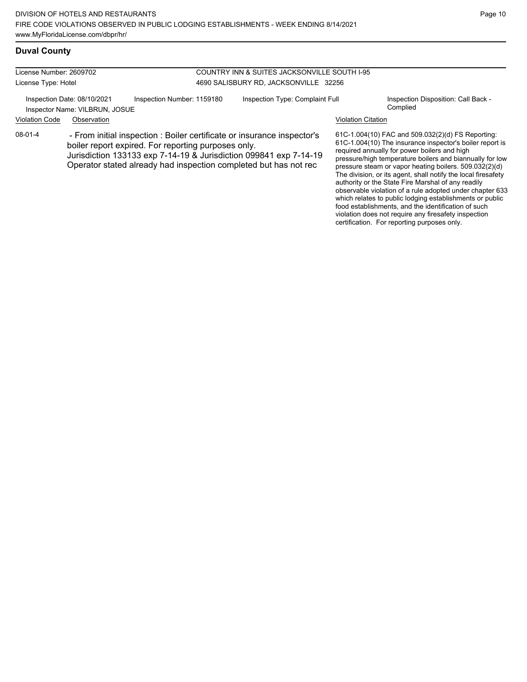### **Duval County**

| License Number: 2609702 |                                                               |                                                                                                                                                                                                                                                                         | COUNTRY INN & SUITES JACKSONVILLE SOUTH I-95 |                           |                                                                                                                                                                                                                                                                                                                                                                                                            |
|-------------------------|---------------------------------------------------------------|-------------------------------------------------------------------------------------------------------------------------------------------------------------------------------------------------------------------------------------------------------------------------|----------------------------------------------|---------------------------|------------------------------------------------------------------------------------------------------------------------------------------------------------------------------------------------------------------------------------------------------------------------------------------------------------------------------------------------------------------------------------------------------------|
| License Type: Hotel     |                                                               |                                                                                                                                                                                                                                                                         | 4690 SALISBURY RD, JACKSONVILLE 32256        |                           |                                                                                                                                                                                                                                                                                                                                                                                                            |
|                         | Inspection Date: 08/10/2021<br>Inspector Name: VILBRUN, JOSUE | Inspection Number: 1159180                                                                                                                                                                                                                                              | Inspection Type: Complaint Full              |                           | Inspection Disposition: Call Back -<br>Complied                                                                                                                                                                                                                                                                                                                                                            |
| <b>Violation Code</b>   | Observation                                                   |                                                                                                                                                                                                                                                                         |                                              | <b>Violation Citation</b> |                                                                                                                                                                                                                                                                                                                                                                                                            |
| $08-01-4$               |                                                               | - From initial inspection : Boiler certificate or insurance inspector's<br>boiler report expired. For reporting purposes only.<br>Jurisdiction 133133 exp 7-14-19 & Jurisdiction 099841 exp 7-14-19<br>Operator stated already had inspection completed but has not rec |                                              |                           | 61C-1.004(10) FAC and 509.032(2)(d) FS Reporting:<br>61C-1.004(10) The insurance inspector's boiler report is<br>required annually for power boilers and high<br>pressure/high temperature boilers and biannually for low<br>pressure steam or vapor heating boilers. 509.032(2)(d)<br>The division, or its agent, shall notify the local firesafety<br>outhority or the Ctate Fire Merchal of any readily |

authority or the State Fire Marshal of any readily observable violation of a rule adopted under chapter 633 which relates to public lodging establishments or public food establishments, and the identification of such violation does not require any firesafety inspection certification. For reporting purposes only.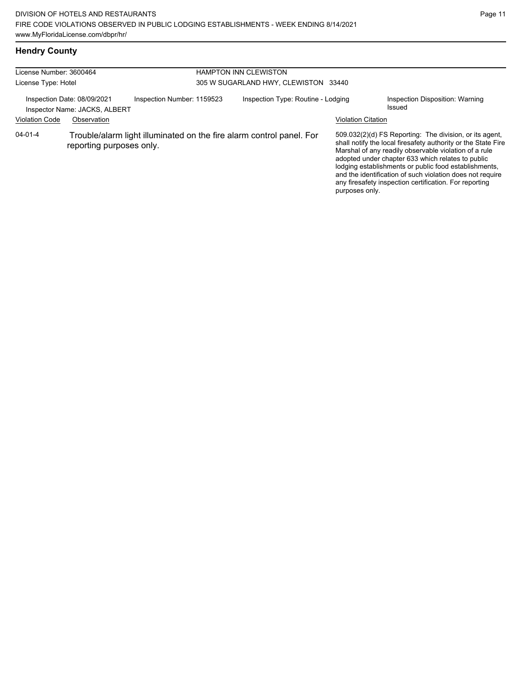## **Hendry County**

| License Number: 3600464<br>License Type: Hotel |                                                                             |                            | <b>HAMPTON INN CLEWISTON</b><br>305 W SUGARLAND HWY, CLEWISTON 33440 |                                                                      |                           |                                                                                                                                                                                                                                                                                                                                                                                                                        |
|------------------------------------------------|-----------------------------------------------------------------------------|----------------------------|----------------------------------------------------------------------|----------------------------------------------------------------------|---------------------------|------------------------------------------------------------------------------------------------------------------------------------------------------------------------------------------------------------------------------------------------------------------------------------------------------------------------------------------------------------------------------------------------------------------------|
| <b>Violation Code</b>                          | Inspection Date: 08/09/2021<br>Inspector Name: JACKS, ALBERT<br>Observation | Inspection Number: 1159523 |                                                                      | Inspection Type: Routine - Lodging                                   | <b>Violation Citation</b> | Inspection Disposition: Warning<br>Issued                                                                                                                                                                                                                                                                                                                                                                              |
| $04 - 01 - 4$                                  | reporting purposes only.                                                    |                            |                                                                      | Trouble/alarm light illuminated on the fire alarm control panel. For | purposes only.            | 509.032(2)(d) FS Reporting: The division, or its agent,<br>shall notify the local firesafety authority or the State Fire<br>Marshal of any readily observable violation of a rule<br>adopted under chapter 633 which relates to public<br>lodging establishments or public food establishments,<br>and the identification of such violation does not require<br>any firesafety inspection certification. For reporting |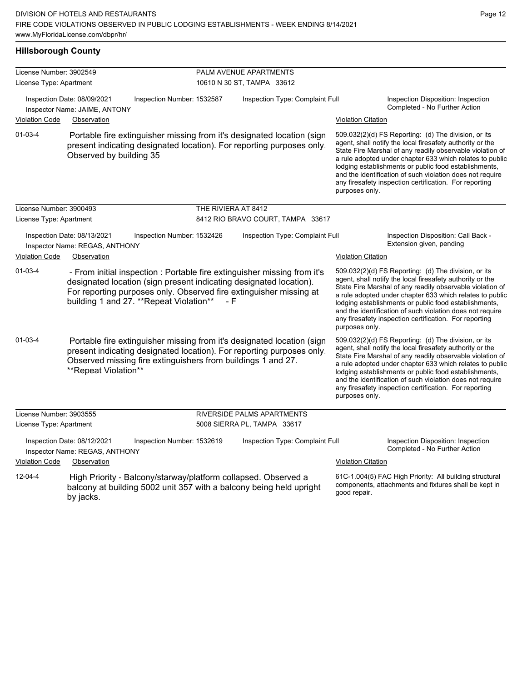| <b>Hillsborough County</b> |                                                                                                                                                                                                                                                                 |                     |                                   |                                                                                                                                                                                                                                                                                                                                                                                                                                              |                                                                                                                                                                                                                                                                                                                                                                                                                            |  |
|----------------------------|-----------------------------------------------------------------------------------------------------------------------------------------------------------------------------------------------------------------------------------------------------------------|---------------------|-----------------------------------|----------------------------------------------------------------------------------------------------------------------------------------------------------------------------------------------------------------------------------------------------------------------------------------------------------------------------------------------------------------------------------------------------------------------------------------------|----------------------------------------------------------------------------------------------------------------------------------------------------------------------------------------------------------------------------------------------------------------------------------------------------------------------------------------------------------------------------------------------------------------------------|--|
| License Number: 3902549    |                                                                                                                                                                                                                                                                 |                     | PALM AVENUE APARTMENTS            |                                                                                                                                                                                                                                                                                                                                                                                                                                              |                                                                                                                                                                                                                                                                                                                                                                                                                            |  |
| License Type: Apartment    |                                                                                                                                                                                                                                                                 |                     | 10610 N 30 ST, TAMPA 33612        |                                                                                                                                                                                                                                                                                                                                                                                                                                              |                                                                                                                                                                                                                                                                                                                                                                                                                            |  |
|                            | Inspection Date: 08/09/2021<br>Inspection Number: 1532587<br>Inspector Name: JAIME, ANTONY                                                                                                                                                                      |                     | Inspection Type: Complaint Full   |                                                                                                                                                                                                                                                                                                                                                                                                                                              | Inspection Disposition: Inspection<br>Completed - No Further Action                                                                                                                                                                                                                                                                                                                                                        |  |
| Violation Code             | Observation                                                                                                                                                                                                                                                     |                     |                                   | <b>Violation Citation</b>                                                                                                                                                                                                                                                                                                                                                                                                                    |                                                                                                                                                                                                                                                                                                                                                                                                                            |  |
| $01 - 03 - 4$              | Portable fire extinguisher missing from it's designated location (sign<br>present indicating designated location). For reporting purposes only.<br>Observed by building 35                                                                                      |                     |                                   | purposes only.                                                                                                                                                                                                                                                                                                                                                                                                                               | 509.032(2)(d) FS Reporting: (d) The division, or its<br>agent, shall notify the local firesafety authority or the<br>State Fire Marshal of any readily observable violation of<br>a rule adopted under chapter 633 which relates to public<br>lodging establishments or public food establishments,<br>and the identification of such violation does not require<br>any firesafety inspection certification. For reporting |  |
| License Number: 3900493    |                                                                                                                                                                                                                                                                 | THE RIVIERA AT 8412 |                                   |                                                                                                                                                                                                                                                                                                                                                                                                                                              |                                                                                                                                                                                                                                                                                                                                                                                                                            |  |
| License Type: Apartment    |                                                                                                                                                                                                                                                                 |                     | 8412 RIO BRAVO COURT, TAMPA 33617 |                                                                                                                                                                                                                                                                                                                                                                                                                                              |                                                                                                                                                                                                                                                                                                                                                                                                                            |  |
|                            | Inspection Date: 08/13/2021<br>Inspection Number: 1532426<br>Inspector Name: REGAS, ANTHONY                                                                                                                                                                     |                     | Inspection Type: Complaint Full   |                                                                                                                                                                                                                                                                                                                                                                                                                                              | Inspection Disposition: Call Back -<br>Extension given, pending                                                                                                                                                                                                                                                                                                                                                            |  |
| <b>Violation Code</b>      | Observation                                                                                                                                                                                                                                                     |                     |                                   | <b>Violation Citation</b>                                                                                                                                                                                                                                                                                                                                                                                                                    |                                                                                                                                                                                                                                                                                                                                                                                                                            |  |
| $01 - 03 - 4$              | - From initial inspection : Portable fire extinguisher missing from it's<br>designated location (sign present indicating designated location).<br>For reporting purposes only. Observed fire extinguisher missing at<br>building 1 and 27. **Repeat Violation** | – F                 |                                   | purposes only.                                                                                                                                                                                                                                                                                                                                                                                                                               | 509.032(2)(d) FS Reporting: (d) The division, or its<br>agent, shall notify the local firesafety authority or the<br>State Fire Marshal of any readily observable violation of<br>a rule adopted under chapter 633 which relates to public<br>lodging establishments or public food establishments,<br>and the identification of such violation does not require<br>any firesafety inspection certification. For reporting |  |
| $01 - 03 - 4$              | Portable fire extinguisher missing from it's designated location (sign<br>present indicating designated location). For reporting purposes only.<br>Observed missing fire extinguishers from buildings 1 and 27.<br>**Repeat Violation**                         |                     |                                   | 509.032(2)(d) FS Reporting: (d) The division, or its<br>agent, shall notify the local firesafety authority or the<br>State Fire Marshal of any readily observable violation of<br>a rule adopted under chapter 633 which relates to public<br>lodging establishments or public food establishments,<br>and the identification of such violation does not require<br>any firesafety inspection certification. For reporting<br>purposes only. |                                                                                                                                                                                                                                                                                                                                                                                                                            |  |
| License Number: 3903555    |                                                                                                                                                                                                                                                                 |                     | <b>RIVERSIDE PALMS APARTMENTS</b> |                                                                                                                                                                                                                                                                                                                                                                                                                                              |                                                                                                                                                                                                                                                                                                                                                                                                                            |  |
| License Type: Apartment    |                                                                                                                                                                                                                                                                 |                     | 5008 SIERRA PL, TAMPA 33617       |                                                                                                                                                                                                                                                                                                                                                                                                                                              |                                                                                                                                                                                                                                                                                                                                                                                                                            |  |
|                            | Inspection Date: 08/12/2021<br>Inspection Number: 1532619<br>Inspector Name: REGAS, ANTHONY                                                                                                                                                                     |                     | Inspection Type: Complaint Full   |                                                                                                                                                                                                                                                                                                                                                                                                                                              | Inspection Disposition: Inspection<br>Completed - No Further Action                                                                                                                                                                                                                                                                                                                                                        |  |
| Violation Code             | Observation                                                                                                                                                                                                                                                     |                     |                                   | <b>Violation Citation</b>                                                                                                                                                                                                                                                                                                                                                                                                                    |                                                                                                                                                                                                                                                                                                                                                                                                                            |  |
| $12 - 04 - 4$              | High Priority - Balcony/starway/platform collapsed. Observed a<br>balcony at building 5002 unit 357 with a balcony being held upright<br>by jacks.                                                                                                              |                     |                                   | good repair.                                                                                                                                                                                                                                                                                                                                                                                                                                 | 61C-1.004(5) FAC High Priority: All building structural<br>components, attachments and fixtures shall be kept in                                                                                                                                                                                                                                                                                                           |  |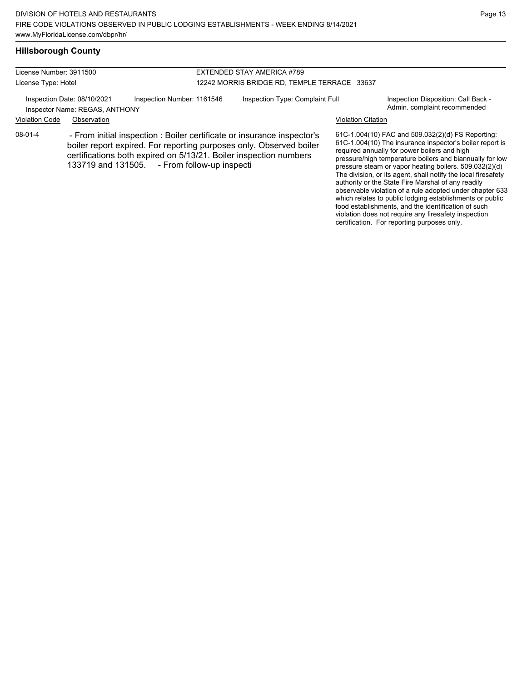#### License Number: 3911500 License Type: Hotel EXTENDED STAY AMERICA #789 12242 MORRIS BRIDGE RD, TEMPLE TERRACE 33637 Inspection Date: 08/10/2021 Inspection Number: 1161546 Inspection Type: Complaint Full Inspection Disposition: Call Back -Inspector Name: REGAS, ANTHONY **Inspector Name: REGAS, ANTHONY** Violation Code Observation Violation Citation 61C-1.004(10) FAC and 509.032(2)(d) FS Reporting: 61C-1.004(10) The insurance inspector's boiler report is required annually for power boilers and high pressure/high temperature boilers and biannually for low pressure steam or vapor heating boilers. 509.032(2)(d) The division, or its agent, shall notify the local firesafety authority or the State Fire Marshal of any readily observable violation of a rule adopted under chapter 633 08-01-4 - From initial inspection : Boiler certificate or insurance inspector's boiler report expired. For reporting purposes only. Observed boiler certifications both expired on 5/13/21. Boiler inspection numbers - From follow-up inspecti

which relates to public lodging establishments or public food establishments, and the identification of such violation does not require any firesafety inspection certification. For reporting purposes only.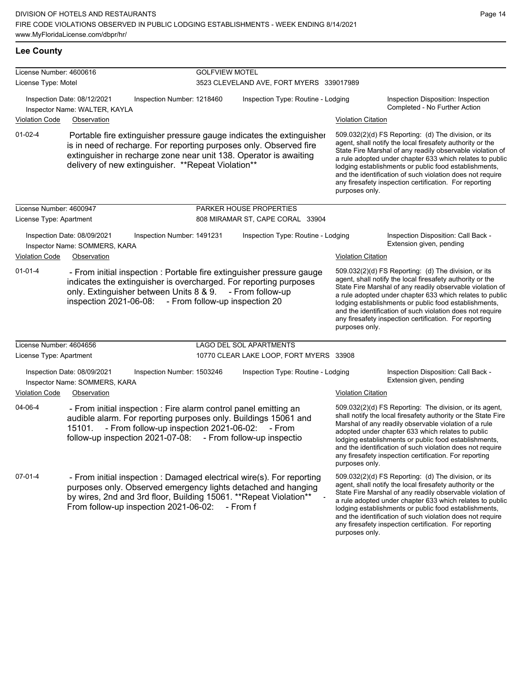### **Lee County**

| License Number: 4600616 |                                                                                                                                                                                                                                                                        | <b>GOLFVIEW MOTEL</b>      |                                          |                           |                                                                                                                                                                                                                                                                                                                                                                                                                            |
|-------------------------|------------------------------------------------------------------------------------------------------------------------------------------------------------------------------------------------------------------------------------------------------------------------|----------------------------|------------------------------------------|---------------------------|----------------------------------------------------------------------------------------------------------------------------------------------------------------------------------------------------------------------------------------------------------------------------------------------------------------------------------------------------------------------------------------------------------------------------|
| License Type: Motel     |                                                                                                                                                                                                                                                                        |                            | 3523 CLEVELAND AVE, FORT MYERS 339017989 |                           |                                                                                                                                                                                                                                                                                                                                                                                                                            |
|                         | Inspection Date: 08/12/2021<br>Inspector Name: WALTER, KAYLA                                                                                                                                                                                                           | Inspection Number: 1218460 | Inspection Type: Routine - Lodging       |                           | Inspection Disposition: Inspection<br>Completed - No Further Action                                                                                                                                                                                                                                                                                                                                                        |
| <b>Violation Code</b>   | Observation                                                                                                                                                                                                                                                            |                            |                                          | <b>Violation Citation</b> |                                                                                                                                                                                                                                                                                                                                                                                                                            |
| $01 - 02 - 4$           | Portable fire extinguisher pressure gauge indicates the extinguisher<br>is in need of recharge. For reporting purposes only. Observed fire<br>extinguisher in recharge zone near unit 138. Operator is awaiting<br>delivery of new extinguisher. ** Repeat Violation** |                            |                                          | purposes only.            | 509.032(2)(d) FS Reporting: (d) The division, or its<br>agent, shall notify the local firesafety authority or the<br>State Fire Marshal of any readily observable violation of<br>a rule adopted under chapter 633 which relates to public<br>lodging establishments or public food establishments,<br>and the identification of such violation does not require<br>any firesafety inspection certification. For reporting |
| License Number: 4600947 |                                                                                                                                                                                                                                                                        |                            | PARKER HOUSE PROPERTIES                  |                           |                                                                                                                                                                                                                                                                                                                                                                                                                            |
| License Type: Apartment |                                                                                                                                                                                                                                                                        |                            | 808 MIRAMAR ST, CAPE CORAL 33904         |                           |                                                                                                                                                                                                                                                                                                                                                                                                                            |
|                         | Inspection Date: 08/09/2021<br>Inspector Name: SOMMERS, KARA                                                                                                                                                                                                           | Inspection Number: 1491231 | Inspection Type: Routine - Lodging       |                           | Inspection Disposition: Call Back -<br>Extension given, pending                                                                                                                                                                                                                                                                                                                                                            |
| <b>Violation Code</b>   | Observation                                                                                                                                                                                                                                                            |                            |                                          | <b>Violation Citation</b> |                                                                                                                                                                                                                                                                                                                                                                                                                            |
| $01 - 01 - 4$           | - From initial inspection : Portable fire extinguisher pressure gauge<br>indicates the extinguisher is overcharged. For reporting purposes<br>only. Extinguisher between Units 8 & 9. - From follow-up<br>inspection 2021-06-08: - From follow-up inspection 20        |                            |                                          | purposes only.            | 509.032(2)(d) FS Reporting: (d) The division, or its<br>agent, shall notify the local firesafety authority or the<br>State Fire Marshal of any readily observable violation of<br>a rule adopted under chapter 633 which relates to public<br>lodging establishments or public food establishments,<br>and the identification of such violation does not require<br>any firesafety inspection certification. For reporting |
| License Number: 4604656 |                                                                                                                                                                                                                                                                        |                            | LAGO DEL SOL APARTMENTS                  |                           |                                                                                                                                                                                                                                                                                                                                                                                                                            |
| License Type: Apartment |                                                                                                                                                                                                                                                                        |                            | 10770 CLEAR LAKE LOOP, FORT MYERS 33908  |                           |                                                                                                                                                                                                                                                                                                                                                                                                                            |
|                         | Inspection Date: 08/09/2021<br>Inspector Name: SOMMERS, KARA                                                                                                                                                                                                           | Inspection Number: 1503246 | Inspection Type: Routine - Lodging       |                           | Inspection Disposition: Call Back -<br>Extension given, pending                                                                                                                                                                                                                                                                                                                                                            |
| <b>Violation Code</b>   | Observation                                                                                                                                                                                                                                                            |                            |                                          | <b>Violation Citation</b> |                                                                                                                                                                                                                                                                                                                                                                                                                            |
| 04-06-4                 | - From initial inspection : Fire alarm control panel emitting an<br>audible alarm. For reporting purposes only. Buildings 15061 and<br>- From follow-up inspection 2021-06-02:<br>15101.<br>follow-up inspection 2021-07-08: - From follow-up inspectio                |                            | - From                                   | purposes only.            | 509.032(2)(d) FS Reporting: The division, or its agent,<br>shall notify the local firesafety authority or the State Fire<br>Marshal of any readily observable violation of a rule<br>adopted under chapter 633 which relates to public<br>lodging establishments or public food establishments,<br>and the identification of such violation does not require<br>any firesafety inspection certification. For reporting     |
| $07-01-4$               | - From initial inspection : Damaged electrical wire(s). For reporting<br>purposes only. Observed emergency lights detached and hanging<br>by wires, 2nd and 3rd floor, Building 15061. ** Repeat Violation**<br>From follow-up inspection 2021-06-02:                  |                            | - From f                                 |                           | 509.032(2)(d) FS Reporting: (d) The division, or its<br>agent, shall notify the local firesafety authority or the<br>State Fire Marshal of any readily observable violation of<br>a rule adopted under chapter 633 which relates to public<br>lodging establishments or public food establishments,<br>and the identification of such violation does not require                                                           |

any firesafety inspection certification. For reporting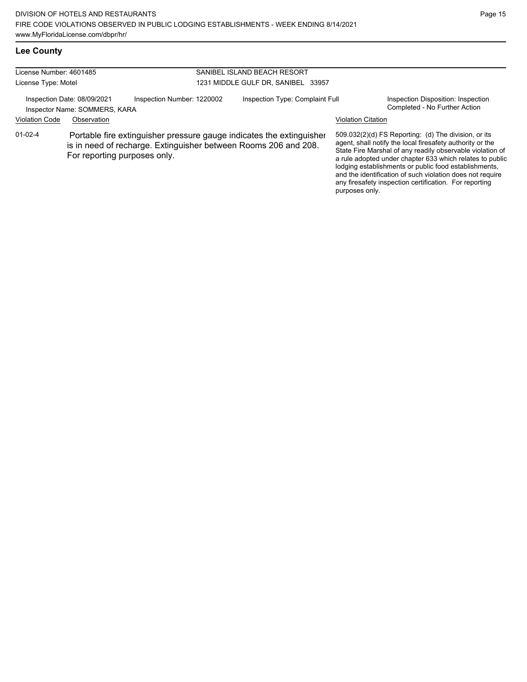any firesafety inspection certification. For reporting

| <b>Lee County</b> |  |
|-------------------|--|
|-------------------|--|

| License Number: 4601485<br>License Type: Motel               |                              |                                                                                                                                         | SANIBEL ISLAND BEACH RESORT<br>1231 MIDDLE GULF DR, SANIBEL 33957 |                           |                                                                                                                                                                                                                                                                                                                                                                  |  |
|--------------------------------------------------------------|------------------------------|-----------------------------------------------------------------------------------------------------------------------------------------|-------------------------------------------------------------------|---------------------------|------------------------------------------------------------------------------------------------------------------------------------------------------------------------------------------------------------------------------------------------------------------------------------------------------------------------------------------------------------------|--|
| Inspection Date: 08/09/2021<br>Inspector Name: SOMMERS, KARA |                              | Inspection Number: 1220002                                                                                                              | Inspection Type: Complaint Full                                   |                           | Inspection Disposition: Inspection<br>Completed - No Further Action                                                                                                                                                                                                                                                                                              |  |
| <b>Violation Code</b>                                        | Observation                  |                                                                                                                                         |                                                                   | <b>Violation Citation</b> |                                                                                                                                                                                                                                                                                                                                                                  |  |
| $01 - 02 - 4$                                                | For reporting purposes only. | Portable fire extinguisher pressure gauge indicates the extinguisher<br>is in need of recharge. Extinguisher between Rooms 206 and 208. |                                                                   |                           | 509.032(2)(d) FS Reporting: (d) The division, or its<br>agent, shall notify the local firesafety authority or the<br>State Fire Marshal of any readily observable violation of<br>a rule adopted under chapter 633 which relates to public<br>lodging establishments or public food establishments,<br>and the identification of such violation does not require |  |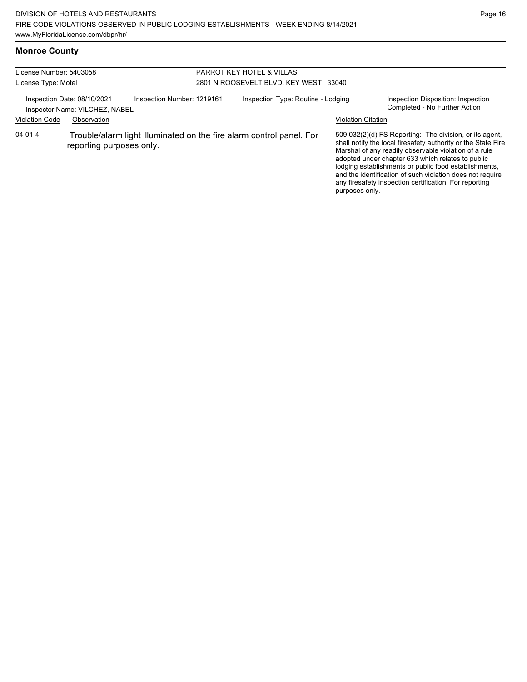### **Monroe County**

| License Number: 5403058<br>License Type: Motel |                                                                              |                            | PARROT KEY HOTEL & VILLAS<br>2801 N ROOSEVELT BLVD, KEY WEST 33040 |                                                                      |                           |                                                                                                                                                                                                                                                                                                                                                                                                                        |
|------------------------------------------------|------------------------------------------------------------------------------|----------------------------|--------------------------------------------------------------------|----------------------------------------------------------------------|---------------------------|------------------------------------------------------------------------------------------------------------------------------------------------------------------------------------------------------------------------------------------------------------------------------------------------------------------------------------------------------------------------------------------------------------------------|
| <b>Violation Code</b>                          | Inspection Date: 08/10/2021<br>Inspector Name: VILCHEZ, NABEL<br>Observation | Inspection Number: 1219161 |                                                                    | Inspection Type: Routine - Lodging                                   | <b>Violation Citation</b> | Inspection Disposition: Inspection<br>Completed - No Further Action                                                                                                                                                                                                                                                                                                                                                    |
| $04 - 01 - 4$                                  | reporting purposes only.                                                     |                            |                                                                    | Trouble/alarm light illuminated on the fire alarm control panel. For | purposes only.            | 509.032(2)(d) FS Reporting: The division, or its agent,<br>shall notify the local firesafety authority or the State Fire<br>Marshal of any readily observable violation of a rule<br>adopted under chapter 633 which relates to public<br>lodging establishments or public food establishments,<br>and the identification of such violation does not require<br>any firesafety inspection certification. For reporting |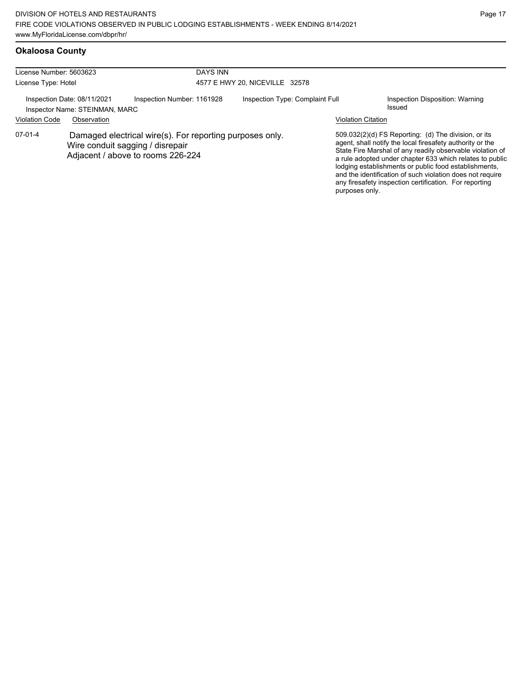## **Okaloosa County**

| License Number: 5603623                                                                                                                      |             | <b>DAYS INN</b>            |                                 |                           |                                                                                                                                                                                                                                                                                                                                                                                                                            |  |  |
|----------------------------------------------------------------------------------------------------------------------------------------------|-------------|----------------------------|---------------------------------|---------------------------|----------------------------------------------------------------------------------------------------------------------------------------------------------------------------------------------------------------------------------------------------------------------------------------------------------------------------------------------------------------------------------------------------------------------------|--|--|
| License Type: Hotel                                                                                                                          |             |                            | 4577 E HWY 20, NICEVILLE 32578  |                           |                                                                                                                                                                                                                                                                                                                                                                                                                            |  |  |
| Inspection Date: 08/11/2021<br>Inspector Name: STEINMAN, MARC                                                                                |             | Inspection Number: 1161928 | Inspection Type: Complaint Full |                           | Inspection Disposition: Warning<br>Issued                                                                                                                                                                                                                                                                                                                                                                                  |  |  |
| <b>Violation Code</b>                                                                                                                        | Observation |                            |                                 | <b>Violation Citation</b> |                                                                                                                                                                                                                                                                                                                                                                                                                            |  |  |
| 07-01-4<br>Damaged electrical wire(s). For reporting purposes only.<br>Wire conduit sagging / disrepair<br>Adjacent / above to rooms 226-224 |             |                            |                                 | purposes only.            | 509.032(2)(d) FS Reporting: (d) The division, or its<br>agent, shall notify the local firesafety authority or the<br>State Fire Marshal of any readily observable violation of<br>a rule adopted under chapter 633 which relates to public<br>lodging establishments or public food establishments,<br>and the identification of such violation does not require<br>any firesafety inspection certification. For reporting |  |  |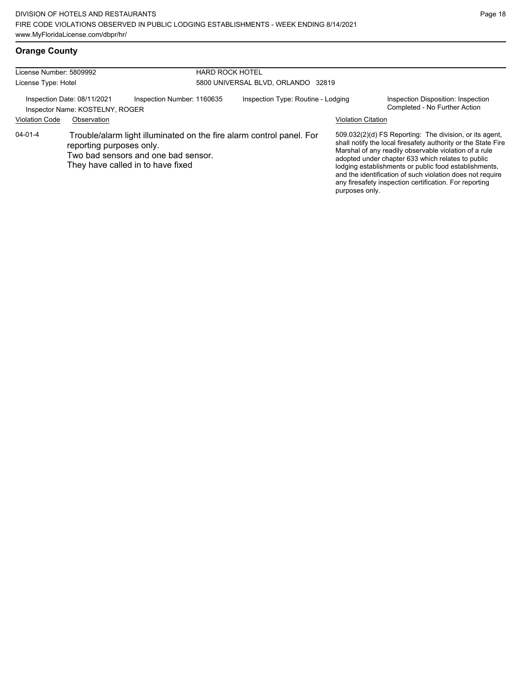## **Orange County**

| License Number: 5809992                                                                                         |                                                                |                            | <b>HARD ROCK HOTEL</b><br>5800 UNIVERSAL BLVD, ORLANDO 32819         |                           |                                                                                                                                                                                                                                                                                                                                                                                                                                          |  |  |
|-----------------------------------------------------------------------------------------------------------------|----------------------------------------------------------------|----------------------------|----------------------------------------------------------------------|---------------------------|------------------------------------------------------------------------------------------------------------------------------------------------------------------------------------------------------------------------------------------------------------------------------------------------------------------------------------------------------------------------------------------------------------------------------------------|--|--|
| License Type: Hotel                                                                                             |                                                                |                            |                                                                      |                           |                                                                                                                                                                                                                                                                                                                                                                                                                                          |  |  |
|                                                                                                                 | Inspection Date: 08/11/2021<br>Inspector Name: KOSTELNY, ROGER | Inspection Number: 1160635 | Inspection Type: Routine - Lodging                                   |                           | Inspection Disposition: Inspection<br>Completed - No Further Action                                                                                                                                                                                                                                                                                                                                                                      |  |  |
| <b>Violation Code</b>                                                                                           | Observation                                                    |                            |                                                                      | <b>Violation Citation</b> |                                                                                                                                                                                                                                                                                                                                                                                                                                          |  |  |
| 04-01-4<br>reporting purposes only.<br>Two bad sensors and one bad sensor.<br>They have called in to have fixed |                                                                |                            | Trouble/alarm light illuminated on the fire alarm control panel. For |                           | 509.032(2)(d) FS Reporting: The division, or its agent,<br>shall notify the local firesafety authority or the State Fire<br>Marshal of any readily observable violation of a rule<br>adopted under chapter 633 which relates to public<br>lodging establishments or public food establishments,<br>and the identification of such violation does not require<br>any firesafety inspection certification. For reporting<br>purposes only. |  |  |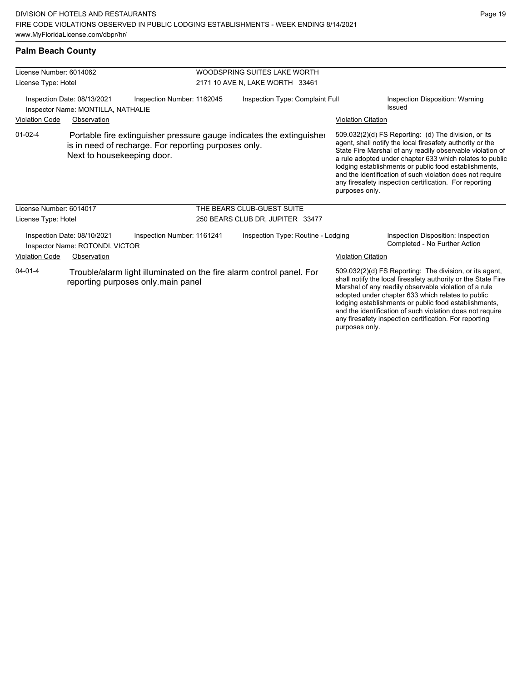any firesafety inspection certification. For reporting

|  |  | <b>Palm Beach County</b> |
|--|--|--------------------------|
|--|--|--------------------------|

| License Number: 6014062 |                                                                   |                                                                                                                              | WOODSPRING SUITES LAKE WORTH       |                           |                                                                                                                                                                                                                                                                                                                                                                                                                            |
|-------------------------|-------------------------------------------------------------------|------------------------------------------------------------------------------------------------------------------------------|------------------------------------|---------------------------|----------------------------------------------------------------------------------------------------------------------------------------------------------------------------------------------------------------------------------------------------------------------------------------------------------------------------------------------------------------------------------------------------------------------------|
| License Type: Hotel     |                                                                   |                                                                                                                              | 2171 10 AVE N, LAKE WORTH 33461    |                           |                                                                                                                                                                                                                                                                                                                                                                                                                            |
|                         | Inspection Date: 08/13/2021<br>Inspector Name: MONTILLA, NATHALIE | Inspection Number: 1162045                                                                                                   | Inspection Type: Complaint Full    |                           | Inspection Disposition: Warning<br>Issued                                                                                                                                                                                                                                                                                                                                                                                  |
| <b>Violation Code</b>   | Observation                                                       |                                                                                                                              |                                    | <b>Violation Citation</b> |                                                                                                                                                                                                                                                                                                                                                                                                                            |
| $01-02-4$               | Next to housekeeping door.                                        | Portable fire extinguisher pressure gauge indicates the extinguisher<br>is in need of recharge. For reporting purposes only. |                                    | purposes only.            | 509.032(2)(d) FS Reporting: (d) The division, or its<br>agent, shall notify the local firesafety authority or the<br>State Fire Marshal of any readily observable violation of<br>a rule adopted under chapter 633 which relates to public<br>lodging establishments or public food establishments,<br>and the identification of such violation does not require<br>any firesafety inspection certification. For reporting |
| License Number: 6014017 |                                                                   |                                                                                                                              | THE BEARS CLUB-GUEST SUITE         |                           |                                                                                                                                                                                                                                                                                                                                                                                                                            |
| License Type: Hotel     |                                                                   |                                                                                                                              | 250 BEARS CLUB DR, JUPITER 33477   |                           |                                                                                                                                                                                                                                                                                                                                                                                                                            |
|                         | Inspection Date: 08/10/2021<br>Inspector Name: ROTONDI, VICTOR    | Inspection Number: 1161241                                                                                                   | Inspection Type: Routine - Lodging |                           | Inspection Disposition: Inspection<br>Completed - No Further Action                                                                                                                                                                                                                                                                                                                                                        |
| <b>Violation Code</b>   | Observation                                                       |                                                                                                                              |                                    | <b>Violation Citation</b> |                                                                                                                                                                                                                                                                                                                                                                                                                            |
| $04 - 01 - 4$           |                                                                   | Trouble/alarm light illuminated on the fire alarm control panel. For<br>reporting purposes only.main panel                   |                                    |                           | 509.032(2)(d) FS Reporting: The division, or its agent,<br>shall notify the local firesafety authority or the State Fire<br>Marshal of any readily observable violation of a rule<br>adopted under chapter 633 which relates to public<br>lodging establishments or public food establishments,<br>and the identification of such violation does not require                                                               |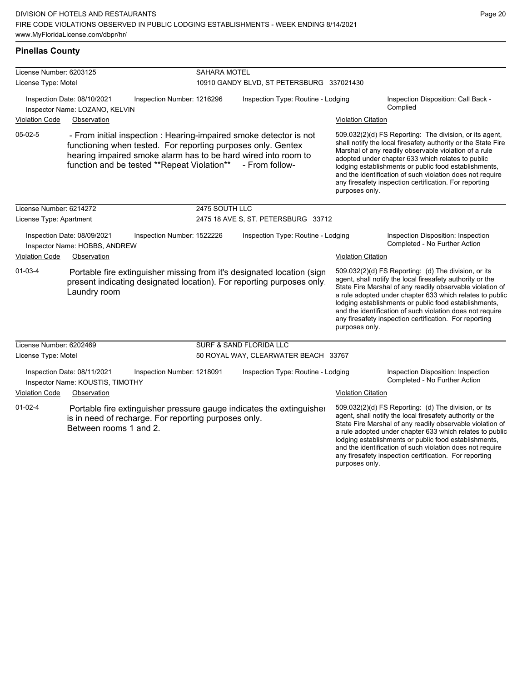### **Pinellas County**

| License Number: 6203125 |                                                                 |                                                                                                                            | <b>SAHARA MOTEL</b>                       |                                                                                                                                                 |                                                                                                                                                                                                                                                                                                                                                                                                                                          |                                                                                                                                                                                                                                                                                                                                                                                                                            |  |
|-------------------------|-----------------------------------------------------------------|----------------------------------------------------------------------------------------------------------------------------|-------------------------------------------|-------------------------------------------------------------------------------------------------------------------------------------------------|------------------------------------------------------------------------------------------------------------------------------------------------------------------------------------------------------------------------------------------------------------------------------------------------------------------------------------------------------------------------------------------------------------------------------------------|----------------------------------------------------------------------------------------------------------------------------------------------------------------------------------------------------------------------------------------------------------------------------------------------------------------------------------------------------------------------------------------------------------------------------|--|
| License Type: Motel     |                                                                 |                                                                                                                            | 10910 GANDY BLVD, ST PETERSBURG 337021430 |                                                                                                                                                 |                                                                                                                                                                                                                                                                                                                                                                                                                                          |                                                                                                                                                                                                                                                                                                                                                                                                                            |  |
|                         | Inspection Date: 08/10/2021<br>Inspector Name: LOZANO, KELVIN   | Inspection Number: 1216296                                                                                                 | Inspection Type: Routine - Lodging        |                                                                                                                                                 |                                                                                                                                                                                                                                                                                                                                                                                                                                          | Inspection Disposition: Call Back -<br>Complied                                                                                                                                                                                                                                                                                                                                                                            |  |
| <b>Violation Code</b>   | Observation                                                     |                                                                                                                            |                                           |                                                                                                                                                 | <b>Violation Citation</b>                                                                                                                                                                                                                                                                                                                                                                                                                |                                                                                                                                                                                                                                                                                                                                                                                                                            |  |
| $05-02-5$               |                                                                 | functioning when tested. For reporting purposes only. Gentex<br>function and be tested **Repeat Violation** - From follow- |                                           | - From initial inspection : Hearing-impaired smoke detector is not<br>hearing impaired smoke alarm has to be hard wired into room to            | 509.032(2)(d) FS Reporting: The division, or its agent,<br>shall notify the local firesafety authority or the State Fire<br>Marshal of any readily observable violation of a rule<br>adopted under chapter 633 which relates to public<br>lodging establishments or public food establishments,<br>and the identification of such violation does not require<br>any firesafety inspection certification. For reporting<br>purposes only. |                                                                                                                                                                                                                                                                                                                                                                                                                            |  |
| License Number: 6214272 |                                                                 |                                                                                                                            | 2475 SOUTH LLC                            |                                                                                                                                                 |                                                                                                                                                                                                                                                                                                                                                                                                                                          |                                                                                                                                                                                                                                                                                                                                                                                                                            |  |
| License Type: Apartment |                                                                 |                                                                                                                            |                                           | 2475 18 AVE S, ST. PETERSBURG 33712                                                                                                             |                                                                                                                                                                                                                                                                                                                                                                                                                                          |                                                                                                                                                                                                                                                                                                                                                                                                                            |  |
|                         | Inspection Date: 08/09/2021<br>Inspector Name: HOBBS, ANDREW    | Inspection Number: 1522226                                                                                                 |                                           | Inspection Type: Routine - Lodging                                                                                                              |                                                                                                                                                                                                                                                                                                                                                                                                                                          | Inspection Disposition: Inspection<br>Completed - No Further Action                                                                                                                                                                                                                                                                                                                                                        |  |
| <b>Violation Code</b>   | Observation                                                     |                                                                                                                            |                                           |                                                                                                                                                 | <b>Violation Citation</b>                                                                                                                                                                                                                                                                                                                                                                                                                |                                                                                                                                                                                                                                                                                                                                                                                                                            |  |
| $01-03-4$               | Laundry room                                                    |                                                                                                                            |                                           | Portable fire extinguisher missing from it's designated location (sign<br>present indicating designated location). For reporting purposes only. | purposes only.                                                                                                                                                                                                                                                                                                                                                                                                                           | 509.032(2)(d) FS Reporting: (d) The division, or its<br>agent, shall notify the local firesafety authority or the<br>State Fire Marshal of any readily observable violation of<br>a rule adopted under chapter 633 which relates to public<br>lodging establishments or public food establishments,<br>and the identification of such violation does not require<br>any firesafety inspection certification. For reporting |  |
| License Number: 6202469 |                                                                 |                                                                                                                            |                                           | SURF & SAND FLORIDA LLC                                                                                                                         |                                                                                                                                                                                                                                                                                                                                                                                                                                          |                                                                                                                                                                                                                                                                                                                                                                                                                            |  |
| License Type: Motel     |                                                                 |                                                                                                                            |                                           | 50 ROYAL WAY, CLEARWATER BEACH 33767                                                                                                            |                                                                                                                                                                                                                                                                                                                                                                                                                                          |                                                                                                                                                                                                                                                                                                                                                                                                                            |  |
|                         | Inspection Date: 08/11/2021<br>Inspector Name: KOUSTIS, TIMOTHY | Inspection Number: 1218091                                                                                                 |                                           | Inspection Type: Routine - Lodging                                                                                                              |                                                                                                                                                                                                                                                                                                                                                                                                                                          | Inspection Disposition: Inspection<br>Completed - No Further Action                                                                                                                                                                                                                                                                                                                                                        |  |
| <b>Violation Code</b>   | Observation                                                     |                                                                                                                            |                                           |                                                                                                                                                 | <b>Violation Citation</b>                                                                                                                                                                                                                                                                                                                                                                                                                |                                                                                                                                                                                                                                                                                                                                                                                                                            |  |
| $01 - 02 - 4$           | Between rooms 1 and 2.                                          | is in need of recharge. For reporting purposes only.                                                                       |                                           | Portable fire extinguisher pressure gauge indicates the extinguisher                                                                            |                                                                                                                                                                                                                                                                                                                                                                                                                                          | 509.032(2)(d) FS Reporting: (d) The division, or its<br>agent, shall notify the local firesafety authority or the<br>State Fire Marshal of any readily observable violation of<br>a rule adopted under chapter 633 which relates to public<br>lodging establishments or public food establishments,<br>and the identification of such violation does not require                                                           |  |

any firesafety inspection certification. For reporting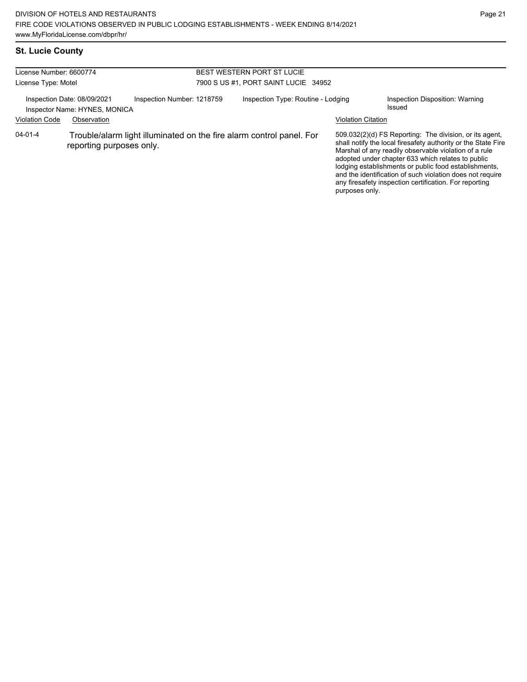## **St. Lucie County**

| License Number: 6600774<br>License Type: Motel |                                                                             |                            | <b>BEST WESTERN PORT ST LUCIE</b><br>7900 S US #1, PORT SAINT LUCIE 34952 |                                                                      |                           |                                                                                                                                                                                                                                                                                                                                                                                                                        |  |
|------------------------------------------------|-----------------------------------------------------------------------------|----------------------------|---------------------------------------------------------------------------|----------------------------------------------------------------------|---------------------------|------------------------------------------------------------------------------------------------------------------------------------------------------------------------------------------------------------------------------------------------------------------------------------------------------------------------------------------------------------------------------------------------------------------------|--|
| <b>Violation Code</b>                          | Inspection Date: 08/09/2021<br>Inspector Name: HYNES, MONICA<br>Observation | Inspection Number: 1218759 |                                                                           | Inspection Type: Routine - Lodging                                   | <b>Violation Citation</b> | Inspection Disposition: Warning<br>Issued                                                                                                                                                                                                                                                                                                                                                                              |  |
| $04 - 01 - 4$                                  | reporting purposes only.                                                    |                            |                                                                           | Trouble/alarm light illuminated on the fire alarm control panel. For | purposes only.            | 509.032(2)(d) FS Reporting: The division, or its agent,<br>shall notify the local firesafety authority or the State Fire<br>Marshal of any readily observable violation of a rule<br>adopted under chapter 633 which relates to public<br>lodging establishments or public food establishments,<br>and the identification of such violation does not require<br>any firesafety inspection certification. For reporting |  |